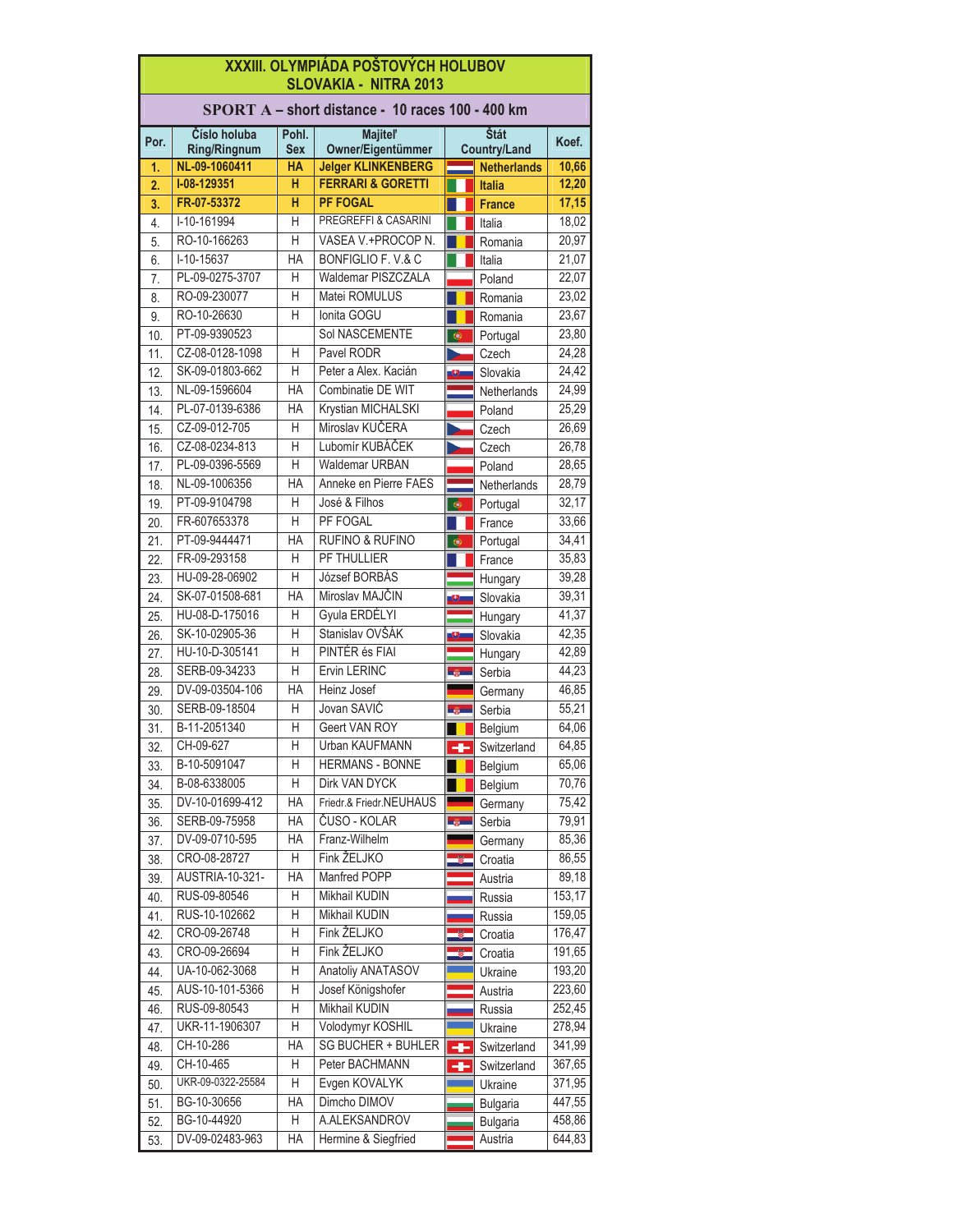|          | XXXIII. OLYMPIÁDA POŠTOVÝCH HOLUBOV<br><b>SLOVAKIA - NITRA 2013</b> |            |                                                           |                |                     |                |  |
|----------|---------------------------------------------------------------------|------------|-----------------------------------------------------------|----------------|---------------------|----------------|--|
|          | SPORT A - short distance - 10 races 100 - 400 km                    |            |                                                           |                |                     |                |  |
| Por.     | Číslo holuba                                                        | Pohl.      | <b>Majitel'</b>                                           |                | Štát                | Koef.          |  |
|          | <b>Ring/Ringnum</b>                                                 | <b>Sex</b> | Owner/Eigentümmer                                         |                | <b>Country/Land</b> |                |  |
| 1.       | NL-09-1060411<br>I-08-129351                                        | HA<br>н    | <b>Jelger KLINKENBERG</b><br><b>FERRARI &amp; GORETTI</b> |                | <b>Netherlands</b>  | 10,66          |  |
| 2.       |                                                                     | H          |                                                           |                | <b>Italia</b>       | 12,20          |  |
| 3.       | FR-07-53372<br>I-10-161994                                          | Н          | <b>PF FOGAL</b><br>PREGREFFI & CASARINI                   |                | <b>France</b>       | 17,15          |  |
| 4.       | RO-10-166263                                                        | Η          | VASEA V.+PROCOP N.                                        |                | Italia              | 18,02<br>20,97 |  |
| 5.       | I-10-15637                                                          | HA         | BONFIGLIO F. V.& C                                        |                | Romania             | 21,07          |  |
| 6.       | PL-09-0275-3707                                                     | Н          | <b>Waldemar PISZCZALA</b>                                 |                | Italia              | 22,07          |  |
| 7.<br>8. | RO-09-230077                                                        | Η          | Matei ROMULUS                                             |                | Poland              | 23,02          |  |
| 9.       | RO-10-26630                                                         | H          | Ionita GOGU                                               |                | Romania<br>Romania  | 23,67          |  |
| 10.      | PT-09-9390523                                                       |            | Sol NASCEMENTE                                            | $\bullet$      | Portugal            | 23,80          |  |
| 11.      | CZ-08-0128-1098                                                     | Н          | Pavel RODR                                                |                | Czech               | 24,28          |  |
| 12.      | SK-09-01803-662                                                     | Н          | Peter a Alex. Kacián                                      | ¢              | Slovakia            | 24,42          |  |
| 13.      | NL-09-1596604                                                       | HA         | Combinatie DE WIT                                         |                | Netherlands         | 24,99          |  |
| 14.      | PL-07-0139-6386                                                     | <b>HA</b>  | Krystian MICHALSKI                                        |                | Poland              | 25,29          |  |
| 15.      | CZ-09-012-705                                                       | Н          | Miroslav KUČERA                                           |                | Czech               | 26,69          |  |
| 16.      | CZ-08-0234-813                                                      | H          | Lubomír KUBÁČEK                                           |                | Czech               | 26,78          |  |
| 17.      | PL-09-0396-5569                                                     | H          | <b>Waldemar URBAN</b>                                     |                | Poland              | 28,65          |  |
| 18.      | NL-09-1006356                                                       | HA         | Anneke en Pierre FAES                                     |                | Netherlands         | 28,79          |  |
| 19.      | PT-09-9104798                                                       | Н          | José & Filhos                                             | $\bullet$      | Portugal            | 32,17          |  |
| 20.      | FR-607653378                                                        | H          | PF FOGAL                                                  |                | France              | 33,66          |  |
| 21.      | PT-09-9444471                                                       | HA         | <b>RUFINO &amp; RUFINO</b>                                | $\bullet$      | Portugal            | 34,41          |  |
| 22.      | FR-09-293158                                                        | Н          | PF THULLIER                                               |                | France              | 35,83          |  |
| 23.      | HU-09-28-06902                                                      | Η          | József BORBÁS                                             |                | Hungary             | 39,28          |  |
| 24.      | SK-07-01508-681                                                     | HA         | Miroslav MAJČIN                                           | ¢              | Slovakia            | 39,31          |  |
| 25.      | HU-08-D-175016                                                      | Н          | Gyula ERDÉLYI                                             |                | Hungary             | 41,37          |  |
| 26.      | SK-10-02905-36                                                      | Н          | Stanislav OVŠÁK                                           | ø              | Slovakia            | 42,35          |  |
| 27.      | HU-10-D-305141                                                      | Н          | PINTÉR és FIAI                                            |                | Hungary             | 42,89          |  |
| 28.      | SERB-09-34233                                                       | Η          | <b>Ervin LERINC</b>                                       | <b>Legions</b> | Serbia              | 44,23          |  |
| 29.      | DV-09-03504-106                                                     | HA         | Heinz Josef                                               |                | Germany             | 46,85          |  |
| 30.      | SERB-09-18504                                                       | Н          | Jovan SAVIĆ                                               | <b>Section</b> | Serbia              | 55,21          |  |
| 31.      | B-11-2051340                                                        | Н          | Geert VAN ROY                                             |                | Belgium             | 64,06          |  |
| 32       | CH-09-627                                                           | Η          | Urban KAUFMANN                                            | HH I           | Switzerland         | 64,85          |  |
| 33.      | B-10-5091047                                                        | Η          | <b>HERMANS - BONNE</b>                                    |                | <b>Belgium</b>      | 65,06          |  |
| 34.      | B-08-6338005                                                        | Н          | Dirk VAN DYCK                                             |                | Belgium             | 70,76          |  |
| 35.      | DV-10-01699-412                                                     | HA         | Friedr.& Friedr.NEUHAUS                                   |                | Germany             | 75,42          |  |
| 36.      | SERB-09-75958                                                       | HA         | ČUSO - KOLAR                                              | <b>SOFT</b>    | Serbia              | 79,91          |  |
| 37.      | DV-09-0710-595                                                      | HA         | Franz-Wilhelm                                             |                | Germany             | 85,36          |  |
| 38.      | CRO-08-28727                                                        | Н          | Fink ŽELJKO                                               |                | Croatia             | 86,55          |  |
| 39.      | AUSTRIA-10-321-                                                     | HA         | Manfred POPP                                              |                | Austria             | 89,18          |  |
| 40.      | RUS-09-80546                                                        | Н          | Mikhail KUDIN                                             |                | Russia              | 153,17         |  |
| 41.      | RUS-10-102662                                                       | Η          | Mikhail KUDIN                                             |                | Russia              | 159,05         |  |
| 42.      | CRO-09-26748                                                        | Η          | Fink ŽELJKO                                               |                | Croatia             | 176,47         |  |
| 43.      | CRO-09-26694                                                        | Η          | Fink ŽELJKO                                               |                | Croatia             | 191,65         |  |
| 44.      | UA-10-062-3068                                                      | Н          | Anatoliy ANATASOV                                         |                | Ukraine             | 193,20         |  |
| 45.      | AUS-10-101-5366                                                     | Н          | Josef Königshofer                                         |                | Austria             | 223,60         |  |
| 46.      | RUS-09-80543                                                        | Н          | Mikhail KUDIN                                             |                | Russia              | 252,45         |  |
| 47.      | UKR-11-1906307                                                      | Н          | Volodymyr KOSHIL                                          |                | Ukraine             | 278,94         |  |
| 48.      | CH-10-286                                                           | ΗA         | SG BUCHER + BUHLER                                        | ÷              | Switzerland         | 341,99         |  |
| 49.      | CH-10-465                                                           | Н          | Peter BACHMANN                                            | ÷              | Switzerland         | 367,65         |  |
| 50.      | UKR-09-0322-25584                                                   | Η          | Evgen KOVALYK                                             |                | Ukraine             | 371,95         |  |
| 51.      | BG-10-30656                                                         | HA         | Dimcho DIMOV                                              |                | <b>Bulgaria</b>     | 447,55         |  |
| 52.      | BG-10-44920                                                         | Η          | A.ALEKSANDROV                                             |                | <b>Bulgaria</b>     | 458,86         |  |
| 53.      | DV-09-02483-963                                                     | HA         | Hermine & Siegfried                                       |                | Austria             | 644,83         |  |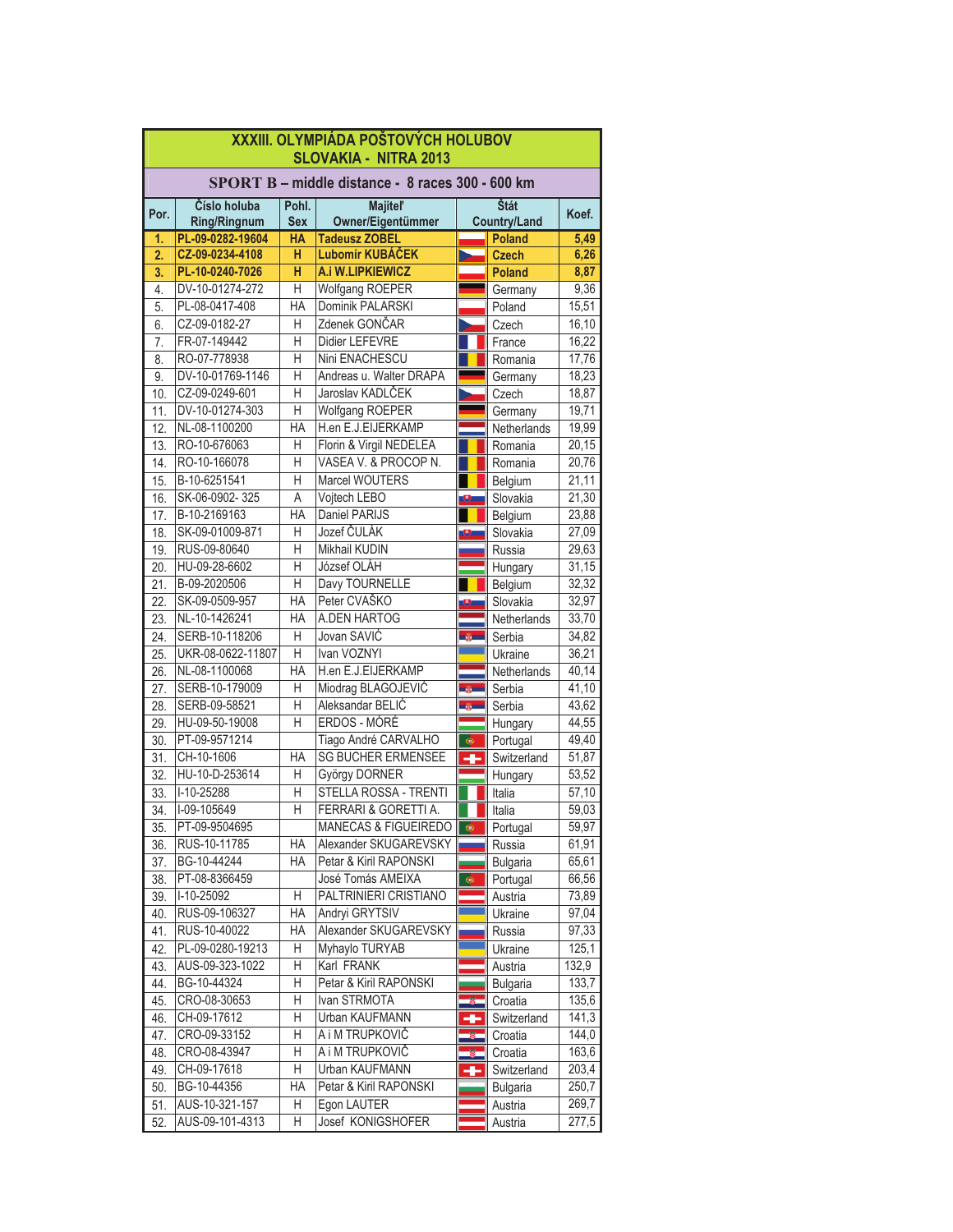|            | XXXIII. OLYMPIÁDA POŠTOVÝCH HOLUBOV<br><b>SLOVAKIA - NITRA 2013</b> |                     |                                      |                      |                             |                     |  |
|------------|---------------------------------------------------------------------|---------------------|--------------------------------------|----------------------|-----------------------------|---------------------|--|
|            | SPORT B - middle distance - 8 races 300 - 600 km                    |                     |                                      |                      |                             |                     |  |
| Por.       | Číslo holuba<br><b>Ring/Ringnum</b>                                 | Pohl.<br><b>Sex</b> | <b>Majitel'</b><br>Owner/Eigentümmer |                      | Štát<br><b>Country/Land</b> | Koef.               |  |
| 1.         | PL-09-0282-19604                                                    | <b>HA</b>           | <b>Tadeusz ZOBEL</b>                 |                      | <b>Poland</b>               | 5,49                |  |
| 2.         | CZ-09-0234-4108                                                     | н                   | Lubomír KUBÁČEK                      |                      | <b>Czech</b>                | 6,26                |  |
| 3.         | PL-10-0240-7026                                                     | H                   | A.i W.LIPKIEWICZ                     |                      | <b>Poland</b>               | 8,87                |  |
| 4.         | DV-10-01274-272                                                     | Η                   | Wolfgang ROEPER                      |                      | Germany                     | 9,36                |  |
| 5.         | PL-08-0417-408                                                      | НA                  | Dominik PALARSKI                     |                      | Poland                      | 15,51               |  |
| 6.         | CZ-09-0182-27                                                       | Н                   | Zdenek GONČAR                        |                      | Czech                       | 16,10               |  |
| 7.         | FR-07-149442                                                        | H                   | Didier LEFEVRE                       |                      | France                      | 16,22               |  |
| 8.         | RO-07-778938                                                        | H                   | Nini ENACHESCU                       |                      | Romania                     | 17,76               |  |
| 9.         | DV-10-01769-1146                                                    | $\overline{H}$      | Andreas u. Walter DRAPA              |                      | Germany                     | 18,23               |  |
| 10.        | CZ-09-0249-601                                                      | H                   | Jaroslav KADLČEK                     |                      | Czech                       | 18,87               |  |
| 11.        | DV-10-01274-303                                                     | H                   | <b>Wolfgang ROEPER</b>               |                      | Germany                     | 19,71               |  |
| 12.        | NL-08-1100200                                                       | ΗA                  | H.en E.J.EIJERKAMP                   |                      | Netherlands                 | 19,99               |  |
| 13.        | RO-10-676063                                                        | H                   | Florin & Virgil NEDELEA              |                      | Romania                     | 20,15               |  |
| 14.        | RO-10-166078                                                        | H                   | VASEA V. & PROCOP N.                 |                      | Romania                     | 20,76               |  |
| 15.        | B-10-6251541                                                        | H                   | Marcel WOUTERS                       |                      | Belgium                     | 21,11               |  |
| 16.        | SK-06-0902-325                                                      | A                   | Vojtech LEBO                         | 9.                   | Slovakia                    | 21,30               |  |
| 17.        | B-10-2169163                                                        | <b>HA</b>           | Daniel PARIJS                        |                      | Belgium                     | 23,88               |  |
| 18.        | SK-09-01009-871                                                     | Н                   | Jozef ČULÁK                          | Đ.                   | Slovakia                    | 27,09               |  |
| 19.        | RUS-09-80640                                                        | Η                   | Mikhail KUDIN                        |                      | Russia                      | 29,63               |  |
| 20.        | HU-09-28-6602                                                       | H                   | József OLÁH                          |                      | Hungary                     | 31,15               |  |
| 21.        | B-09-2020506                                                        | $\overline{H}$      | Davy TOURNELLE                       |                      | Belgium                     | 32,32               |  |
| 22.        | SK-09-0509-957                                                      | HA                  | Peter CVAŠKO                         |                      | Slovakia                    | 32,97               |  |
| 23.        | NL-10-1426241                                                       | HA                  | A.DEN HARTOG                         |                      | Netherlands                 | 33,70               |  |
| 24.        | SERB-10-118206                                                      | Η                   | Jovan SAVIC                          | <b>Light</b>         | Serbia                      | 34,82               |  |
| 25.        | UKR-08-0622-11807                                                   | H                   | Ivan VOZNYI<br>H.en E.J.EIJERKAMP    |                      | Ukraine                     | 36,21               |  |
| 26.        | NL-08-1100068<br>SERB-10-179009                                     | НA<br>Η             | Miodrag BLAGOJEVIĆ                   |                      | Netherlands                 | 40,14<br>41,10      |  |
| 27.        | SERB-09-58521                                                       | H                   | Aleksandar BELIĆ                     | <b>TAXE</b><br>mine. | Serbia                      | 43,62               |  |
| 28.<br>29. | HU-09-50-19008                                                      | $\overline{H}$      | ERDOS - MÓRÉ                         |                      | Serbia<br>Hungary           | 44,55               |  |
| 30.        | PT-09-9571214                                                       |                     | Tiago André CARVALHO                 | $\bullet$            | Portugal                    | 49,40               |  |
| 31.        | CH-10-1606                                                          | <b>HA</b>           | <b>SG BUCHER ERMENSEE</b>            | ÷                    | Switzerland                 | 51,87               |  |
| 32.        | HU-10-D-253614                                                      | Н                   | György DORNER                        |                      | Hungary                     | 53,52               |  |
| 33.        | I-10-25288                                                          | Η                   | STELLA ROSSA - TRENTI                |                      | Italia                      | 57,10               |  |
| 34.        | I-09-105649                                                         | H                   | FERRARI & GORETTI A.                 |                      | Italia                      | 59,03               |  |
| 35.        | PT-09-9504695                                                       |                     | MANECAS & FIGUEIREDO <b> </b>        |                      | Portugal                    | 59,97               |  |
| 36.        | RUS-10-11785                                                        | HA                  | Alexander SKUGAREVSKY                |                      | Russia                      | 61,91               |  |
| 37.        | BG-10-44244                                                         | HA                  | Petar & Kiril RAPONSKI               |                      | <b>Bulgaria</b>             | 65,61               |  |
| 38.        | PT-08-8366459                                                       |                     | José Tomás AMEIXA                    | $\bullet$            | Portugal                    | 66,56               |  |
| 39.        | I-10-25092                                                          | Η                   | PALTRINIERI CRISTIANO                |                      | Austria                     | 73,89               |  |
| 40.        | RUS-09-106327                                                       | HA                  | Andryi GRYTSIV                       |                      | Ukraine                     | 97,04               |  |
| 41.        | RUS-10-40022                                                        | НA                  | Alexander SKUGAREVSKY                |                      | Russia                      | 97,33               |  |
| 42.        | PL-09-0280-19213                                                    | Η                   | Myhaylo TURYAB                       |                      | Ukraine                     | 125,1               |  |
| 43.        | AUS-09-323-1022                                                     | Η                   | Karl FRANK                           |                      | Austria                     | 132,9               |  |
| 44.        | BG-10-44324                                                         | Η                   | Petar & Kiril RAPONSKI               |                      | <b>Bulgaria</b>             | 133,7               |  |
| 45.        | CRO-08-30653                                                        | Η                   | Ivan STRMOTA                         |                      | Croatia                     | 135,6               |  |
| 46.        | CH-09-17612                                                         | Η                   | Urban KAUFMANN                       |                      | Switzerland                 | $\overline{141}$ ,3 |  |
| 47.        | CRO-09-33152                                                        | Н                   | A i M TRUPKOVIČ                      |                      | Croatia                     | 144,0               |  |
| 48.        | CRO-08-43947                                                        | Η                   | A i M TRUPKOVIČ                      |                      | Croatia                     | 163,6               |  |
| 49.        | CH-09-17618                                                         | Η                   | Urban KAUFMANN                       |                      | Switzerland                 | 203,4               |  |
| 50.        | BG-10-44356                                                         | HA                  | Petar & Kiril RAPONSKI               |                      | <b>Bulgaria</b>             | 250,7               |  |
| 51.        | AUS-10-321-157                                                      | H                   | Egon LAUTER                          |                      | Austria                     | 269,7               |  |
| 52.        | AUS-09-101-4313                                                     | Η                   | Josef KONIGSHOFER                    |                      | Austria                     | 277,5               |  |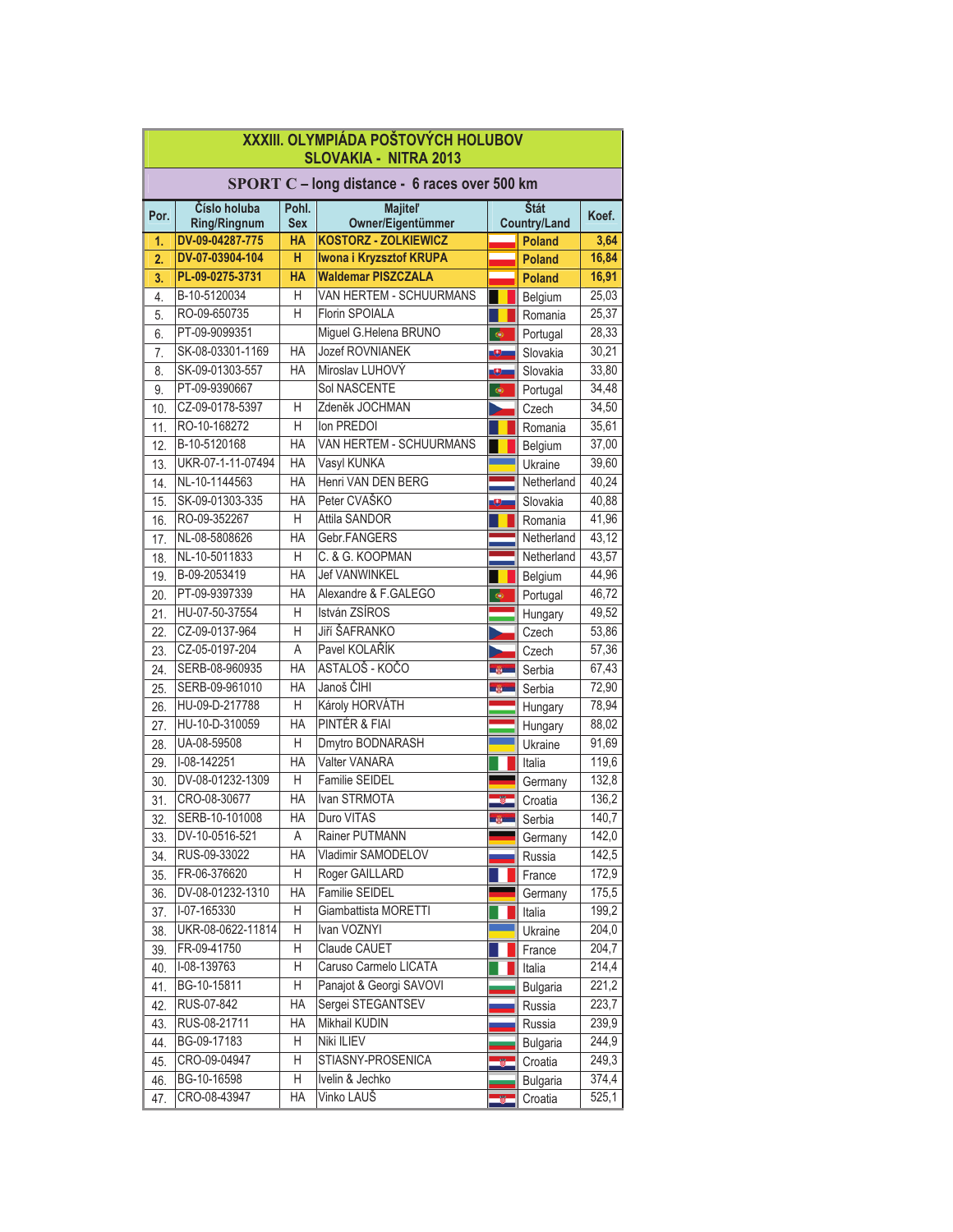|      | XXXIII. OLYMPIÁDA POŠTOVÝCH HOLUBOV<br><b>SLOVAKIA - NITRA 2013</b>              |                         |                                                  |   |                 |       |  |
|------|----------------------------------------------------------------------------------|-------------------------|--------------------------------------------------|---|-----------------|-------|--|
|      | SPORT C - long distance - 6 races over 500 km                                    |                         |                                                  |   |                 |       |  |
| Por. | Číslo holuba<br><b>Majitel'</b><br>Štát<br>Pohl.<br>Koef.<br><b>Country/Land</b> |                         |                                                  |   |                 |       |  |
| 1.   | <b>Ring/Ringnum</b><br>DV-09-04287-775                                           | <b>Sex</b><br><b>HA</b> | Owner/Eigentümmer<br><b>KOSTORZ - ZOLKIEWICZ</b> |   | <b>Poland</b>   | 3,64  |  |
| 2.   | DV-07-03904-104                                                                  | н                       | Iwona i Kryzsztof KRUPA                          |   | <b>Poland</b>   | 16,84 |  |
| 3.   | PL-09-0275-3731                                                                  | <b>HA</b>               | <b>Waldemar PISZCZALA</b>                        |   | <b>Poland</b>   | 16,91 |  |
| 4.   | B-10-5120034                                                                     | Н                       | VAN HERTEM - SCHUURMANS                          |   | Belgium         | 25,03 |  |
| 5.   | RO-09-650735                                                                     | Н                       | Florin SPOIALA                                   |   | Romania         | 25,37 |  |
| 6.   | PT-09-9099351                                                                    |                         | Miguel G.Helena BRUNO                            | ۰ | Portugal        | 28,33 |  |
| 7.   | SK-08-03301-1169                                                                 | HA                      | Jozef ROVNIANEK                                  |   | Slovakia        | 30,21 |  |
| 8.   | SK-09-01303-557                                                                  | HA                      | Miroslav LUHOVÝ                                  |   | Slovakia        | 33,80 |  |
| 9.   | PT-09-9390667                                                                    |                         | Sol NASCENTE                                     | ¢ | Portugal        | 34,48 |  |
| 10.  | CZ-09-0178-5397                                                                  | Н                       | Zdeněk JOCHMAN                                   |   | Czech           | 34,50 |  |
| 11.  | RO-10-168272                                                                     | H                       | Ion PREDOI                                       |   | Romania         | 35,61 |  |
| 12.  | B-10-5120168                                                                     | HA                      | VAN HERTEM - SCHUURMANS                          |   | Belgium         | 37,00 |  |
| 13.  | UKR-07-1-11-07494                                                                | HA                      | Vasyl KUNKA                                      |   | Ukraine         | 39,60 |  |
| 14.  | NL-10-1144563                                                                    | HA                      | Henri VAN DEN BERG                               |   | Netherland      | 40,24 |  |
| 15.  | SK-09-01303-335                                                                  | HA                      | Peter CVAŠKO                                     |   | Slovakia        | 40,88 |  |
| 16.  | RO-09-352267                                                                     | Η                       | Attila SANDOR                                    |   | Romania         | 41,96 |  |
| 17.  | NL-08-5808626                                                                    | <b>HA</b>               | Gebr.FANGERS                                     |   | Netherland      | 43,12 |  |
| 18.  | NL-10-5011833                                                                    | Η                       | C. & G. KOOPMAN                                  |   | Netherland      | 43,57 |  |
| 19.  | B-09-2053419                                                                     | HA                      | <b>Jef VANWINKEL</b>                             |   | Belgium         | 44,96 |  |
| 20.  | PT-09-9397339                                                                    | HA                      | Alexandre & F.GALEGO                             | ¢ | Portugal        | 46,72 |  |
| 21.  | HU-07-50-37554                                                                   | Η                       | István ZSÍROS                                    |   | Hungary         | 49,52 |  |
| 22.  | CZ-09-0137-964                                                                   | Η                       | Jiří ŠAFRANKO                                    |   | Czech           | 53,86 |  |
| 23.  | CZ-05-0197-204                                                                   | Α                       | Pavel KOLAŘÍK                                    |   | Czech           | 57,36 |  |
| 24.  | SERB-08-960935                                                                   | HA                      | ASTALOŠ - KOČO                                   |   | Serbia          | 67,43 |  |
| 25.  | SERB-09-961010                                                                   | HA                      | Janoš ČIHI                                       |   | Serbia          | 72,90 |  |
| 26.  | HU-09-D-217788                                                                   | Η                       | Károly HORVÁTH                                   |   | Hungary         | 78,94 |  |
| 27.  | HU-10-D-310059                                                                   | HA                      | <b>PINTÉR &amp; FIAI</b>                         |   | Hungary         | 88,02 |  |
| 28.  | UA-08-59508                                                                      | Η                       | Dmytro BODNARASH                                 |   | Ukraine         | 91,69 |  |
| 29.  | I-08-142251                                                                      | HA                      | Valter VANARA                                    |   | Italia          | 119,6 |  |
| 30.  | DV-08-01232-1309                                                                 | Η                       | <b>Familie SEIDEL</b>                            |   | Germany         | 132,8 |  |
| 31.  | CRO-08-30677                                                                     | HA                      | Ivan STRMOTA                                     |   | Croatia         | 136,2 |  |
| 32.  | SERB-10-101008                                                                   | HA                      | Duro VITAS                                       |   | Serbia          | 140,7 |  |
| 33.  | DV-10-0516-521                                                                   | Α                       | Rainer PUTMANN                                   |   | Germany         | 142,0 |  |
| 34.  | RUS-09-33022                                                                     | HA                      | Vladimir SAMODELOV                               |   | Russia          | 142,5 |  |
| 35.  | FR-06-376620                                                                     | Η                       | Roger GAILLARD                                   |   | France          | 172,9 |  |
| 36.  | DV-08-01232-1310                                                                 | HA                      | Familie SEIDEL                                   |   | Germany         | 175,5 |  |
| 37.  | I-07-165330                                                                      | Η                       | Giambattista MORETTI                             |   | Italia          | 199,2 |  |
| 38.  | UKR-08-0622-11814                                                                | Η                       | Ivan VOZNYI                                      |   | Ukraine         | 204,0 |  |
| 39.  | FR-09-41750                                                                      | Η                       | Claude CAUET                                     |   | France          | 204,7 |  |
| 40.  | I-08-139763                                                                      | Η                       | Caruso Carmelo LICATA                            |   | Italia          | 214,4 |  |
| 41.  | BG-10-15811                                                                      | Η                       | Panajot & Georgi SAVOVI                          |   | <b>Bulgaria</b> | 221,2 |  |
| 42.  | RUS-07-842                                                                       | HA                      | Sergei STEGANTSEV                                |   | Russia          | 223,7 |  |
| 43.  | RUS-08-21711                                                                     | HA                      | <b>Mikhail KUDIN</b>                             |   | Russia          | 239,9 |  |
| 44.  | BG-09-17183                                                                      | Η                       | Niki ILIEV                                       |   | <b>Bulgaria</b> | 244,9 |  |
| 45.  | CRO-09-04947                                                                     | Η                       | STIASNY-PROSENICA                                |   | Croatia         | 249,3 |  |
| 46.  | BG-10-16598                                                                      | Η                       | Ivelin & Jechko                                  |   | <b>Bulgaria</b> | 374,4 |  |
| 47.  | CRO-08-43947                                                                     | HA                      | Vinko LAUŠ                                       |   | Croatia         | 525,1 |  |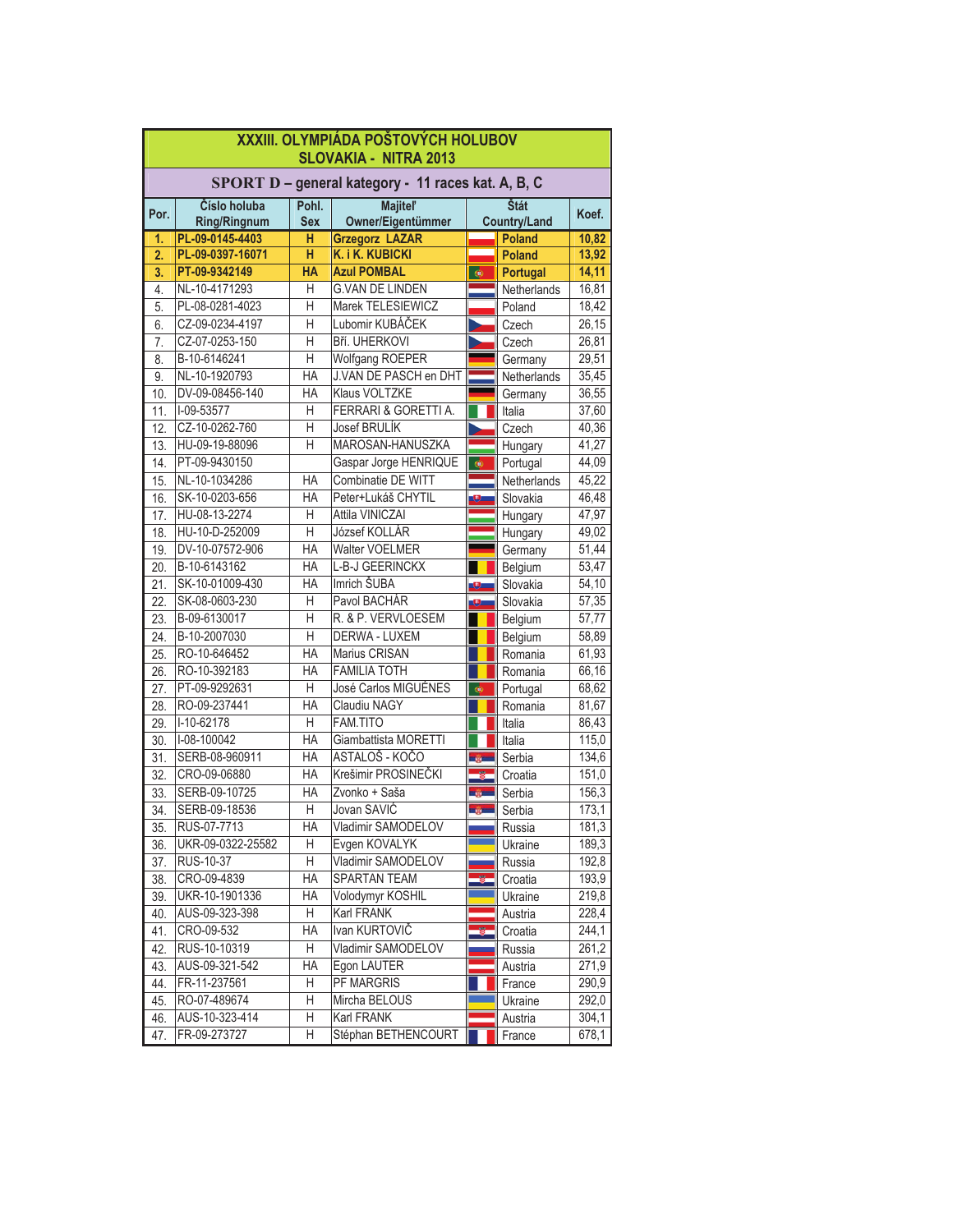|      | XXXIII. OLYMPIÁDA POŠTOVÝCH HOLUBOV<br><b>SLOVAKIA - NITRA 2013</b> |                     |                                      |                          |                             |       |  |
|------|---------------------------------------------------------------------|---------------------|--------------------------------------|--------------------------|-----------------------------|-------|--|
|      | SPORT D - general kategory - 11 races kat. A, B, C                  |                     |                                      |                          |                             |       |  |
| Por. | Číslo holuba<br><b>Ring/Ringnum</b>                                 | Pohl.<br><b>Sex</b> | <b>Majitel'</b><br>Owner/Eigentümmer |                          | Štát<br><b>Country/Land</b> | Koef. |  |
| 1.   | PL-09-0145-4403                                                     | н                   | <b>Grzegorz LAZAR</b>                |                          | <b>Poland</b>               | 10,82 |  |
| 2.   | PL-09-0397-16071                                                    | н                   | K. i K. KUBICKI                      |                          | <b>Poland</b>               | 13,92 |  |
| 3.   | PT-09-9342149                                                       | HA                  | <b>Azul POMBAL</b>                   | $\bullet$                | Portugal                    | 14,11 |  |
| 4.   | NL-10-4171293                                                       | Η                   | <b>G.VAN DE LINDEN</b>               |                          | Netherlands                 | 16,81 |  |
| 5.   | PL-08-0281-4023                                                     | H                   | Marek TELESIEWICZ                    |                          | Poland                      | 18,42 |  |
| 6.   | CZ-09-0234-4197                                                     | Η                   | Lubomir KUBÁČEK                      |                          | Czech                       | 26,15 |  |
| 7.   | CZ-07-0253-150                                                      | H                   | Bří. UHERKOVI                        |                          | Czech                       | 26,81 |  |
| 8.   | B-10-6146241                                                        | $\overline{H}$      | Wolfgang ROEPER                      |                          | Germany                     | 29,51 |  |
| 9.   | NL-10-1920793                                                       | <b>HA</b>           | J.VAN DE PASCH en DHT                |                          | Netherlands                 | 35,45 |  |
| 10.  | DV-09-08456-140                                                     | ΗA                  | <b>Klaus VOLTZKE</b>                 |                          | Germany                     | 36,55 |  |
| 11.  | I-09-53577                                                          | H                   | FERRARI & GORETTI A.                 |                          | Italia                      | 37,60 |  |
| 12.  | CZ-10-0262-760                                                      | H                   | Josef BRULÍK                         |                          | Czech                       | 40,36 |  |
| 13.  | HU-09-19-88096                                                      | H                   | MAROSAN-HANUSZKA                     |                          | Hungary                     | 41,27 |  |
| 14.  | PT-09-9430150                                                       |                     | Gaspar Jorge HENRIQUE                | $\bullet$                | Portugal                    | 44,09 |  |
| 15.  | NL-10-1034286                                                       | ΗA                  | Combinatie DE WITT                   |                          | Netherlands                 | 45,22 |  |
| 16.  | SK-10-0203-656                                                      | НA                  | Peter+Lukáš CHYTIL                   |                          | Slovakia                    | 46,48 |  |
| 17.  | HU-08-13-2274                                                       | Η                   | Attila VINICZAI                      |                          | Hungary                     | 47,97 |  |
| 18.  | HU-10-D-252009                                                      | H                   | József KOLLÁR                        |                          | Hungary                     | 49,02 |  |
| 19.  | DV-10-07572-906                                                     | <b>HA</b>           | Walter VOELMER                       |                          | Germany                     | 51,44 |  |
| 20.  | B-10-6143162                                                        | ΗA                  | L-B-J GEERINCKX                      |                          | Belgium                     | 53,47 |  |
| 21.  | SK-10-01009-430                                                     | <b>HA</b>           | Imrich ŠUBA                          | $\overline{\phantom{a}}$ | Slovakia                    | 54,10 |  |
| 22.  | SK-08-0603-230                                                      | Η                   | Pavol BACHÁR                         | Θ                        | Slovakia                    | 57,35 |  |
| 23.  | B-09-6130017                                                        | Н                   | R. & P. VERVLOESEM                   |                          | Belgium                     | 57,77 |  |
| 24.  | B-10-2007030                                                        | H                   | DERWA - LUXEM                        |                          | Belgium                     | 58,89 |  |
| 25.  | RO-10-646452                                                        | <b>HA</b>           | Marius CRISAN                        |                          | Romania                     | 61,93 |  |
| 26.  | RO-10-392183                                                        | ΗA                  | <b>FAMILIA TOTH</b>                  |                          | Romania                     | 66,16 |  |
| 27.  | PT-09-9292631                                                       | Н                   | José Carlos MIGUÉNES                 | ¢                        | Portugal                    | 68,62 |  |
| 28.  | RO-09-237441                                                        | <b>HA</b>           | Claudiu NAGY                         |                          | Romania                     | 81,67 |  |
| 29.  | I-10-62178                                                          | H                   | FAM.TITO                             |                          | Italia                      | 86,43 |  |
| 30.  | I-08-100042                                                         | <b>HA</b>           | Giambattista MORETTI                 |                          | Italia                      | 115,0 |  |
| 31.  | SERB-08-960911                                                      | ΗA                  | ASTALOŠ - KOČO                       | <b>CONTENT</b>           | Serbia                      | 134,6 |  |
| 32.  | CRO-09-06880                                                        | ΗA                  | Krešimir PROSINEČKI                  |                          | Croatia                     | 151,0 |  |
| 33.  | SERB-09-10725                                                       | ΗA                  | Zvonko + Saša                        | <b>THE</b>               | Serbia                      | 156,3 |  |
| 34.  | SERB-09-18536                                                       | Н                   | Jovan SAVIC                          | <b>DESCRIPTION</b>       | Serbia                      | 173,1 |  |
| 35.  | RUS-07-7713                                                         | ΗA                  | Vladimir SAMODELOV                   |                          | Russia                      | 181,3 |  |
| 36.  | UKR-09-0322-25582                                                   | Н                   | Evgen KOVALYK                        |                          | Ukraine                     | 189,3 |  |
| 37.  | RUS-10-37                                                           | H                   | Vladimir SAMODELOV                   |                          | Russia                      | 192,8 |  |
| 38.  | CRO-09-4839                                                         | HA                  | <b>SPARTAN TEAM</b>                  |                          | Croatia                     | 193,9 |  |
| 39.  | UKR-10-1901336                                                      | HA                  | Volodymyr KOSHIL                     |                          | Ukraine                     | 219,8 |  |
| 40.  | AUS-09-323-398                                                      | Η                   | Karl FRANK                           |                          | Austria                     | 228,4 |  |
| 41.  | CRO-09-532                                                          | HA                  | Ivan KURTOVIČ                        |                          | Croatia                     | 244,1 |  |
| 42.  | RUS-10-10319                                                        | H                   | Vladimir SAMODELOV                   |                          | Russia                      | 261,2 |  |
| 43.  | AUS-09-321-542                                                      | HA                  | Egon LAUTER                          |                          | Austria                     | 271,9 |  |
| 44.  | FR-11-237561                                                        | Η                   | PF MARGRIS                           |                          | France                      | 290,9 |  |
| 45.  | RO-07-489674                                                        | Η                   | Mircha BELOUS                        |                          | Ukraine                     | 292,0 |  |
| 46.  | AUS-10-323-414                                                      | Η                   | Karl FRANK                           |                          | Austria                     | 304,1 |  |
| 47.  | FR-09-273727                                                        | Н                   | Stéphan BETHENCOURT                  |                          | France                      | 678,1 |  |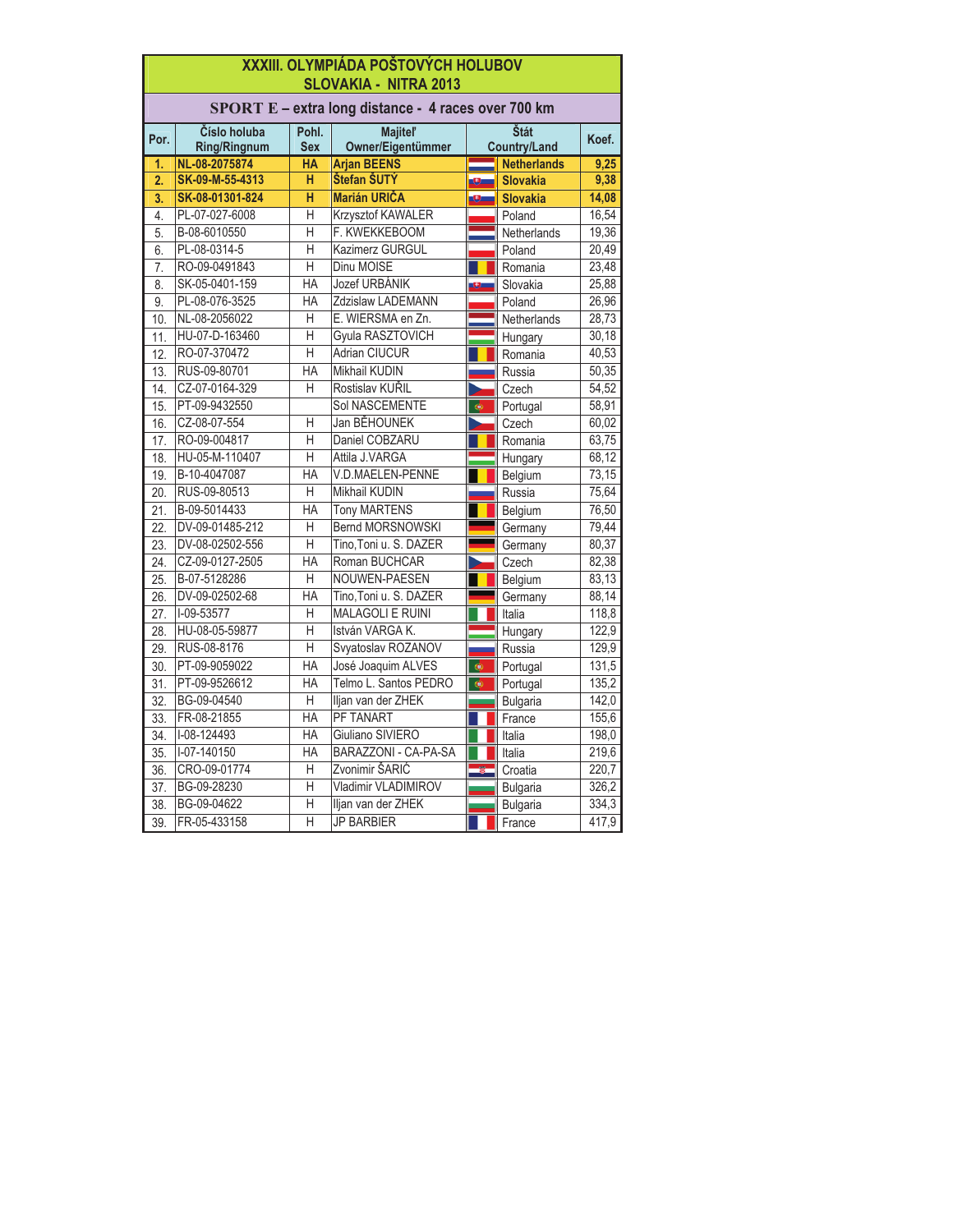|                  | XXXIII. OLYMPIÁDA POŠTOVÝCH HOLUBOV<br><b>SLOVAKIA - NITRA 2013</b> |                     |                                                     |                                      |                    |       |
|------------------|---------------------------------------------------------------------|---------------------|-----------------------------------------------------|--------------------------------------|--------------------|-------|
|                  |                                                                     |                     | SPORT E - extra long distance - 4 races over 700 km |                                      |                    |       |
| Por.             | Číslo holuba<br><b>Ring/Ringnum</b>                                 | Pohl.<br><b>Sex</b> | <b>Majitel'</b><br>Owner/Eigentümmer                | Štát<br>Koef.<br><b>Country/Land</b> |                    |       |
| 1.               | NL-08-2075874                                                       | <b>HA</b>           | <b>Arjan BEENS</b>                                  |                                      | <b>Netherlands</b> | 9,25  |
| $\overline{2}$ . | SK-09-M-55-4313                                                     | н                   | Štefan ŠUTÝ                                         |                                      | <b>Slovakia</b>    | 9,38  |
| 3.               | SK-08-01301-824                                                     | H                   | <b>Marián URIČA</b>                                 | 9.                                   | <b>Slovakia</b>    | 14,08 |
| $\overline{4}$ . | PL-07-027-6008                                                      | Η                   | Krzysztof KAWALER                                   |                                      | Poland             | 16,54 |
| 5.               | B-08-6010550                                                        | H                   | F. KWEKKEBOOM                                       |                                      | Netherlands        | 19,36 |
| 6.               | PL-08-0314-5                                                        | H                   | Kazimerz GURGUL                                     |                                      | Poland             | 20,49 |
| $\overline{7}$ . | RO-09-0491843                                                       | H                   | Dinu MOISE                                          |                                      | Romania            | 23,48 |
| $\overline{8}$ . | SK-05-0401-159                                                      | <b>HA</b>           | Jozef URBÁNIK                                       | υ.                                   | Slovakia           | 25,88 |
| 9.               | PL-08-076-3525                                                      | $H$ A               | Zdzislaw LADEMANN                                   |                                      | Poland             | 26,96 |
| 10.              | NL-08-2056022                                                       | Η                   | E. WIERSMA en Zn.                                   |                                      | Netherlands        | 28,73 |
| 11.              | HU-07-D-163460                                                      | Η                   | Gyula RASZTOVICH                                    |                                      | Hungary            | 30,18 |
| 12.              | RO-07-370472                                                        | H                   | <b>Adrian CIUCUR</b>                                |                                      | Romania            | 40,53 |
| 13.              | RUS-09-80701                                                        | HA                  | Mikhail KUDIN                                       |                                      | Russia             | 50,35 |
| 14.              | CZ-07-0164-329                                                      | Η                   | Rostislav KUŘIL                                     |                                      | Czech              | 54,52 |
| 15.              | PT-09-9432550                                                       |                     | Sol NASCEMENTE                                      | $\bullet$                            | Portugal           | 58,91 |
| 16.              | CZ-08-07-554                                                        | Η                   | Jan BĚHOUNEK                                        | D                                    | Czech              | 60.02 |
| 17.              | RO-09-004817                                                        | H                   | Daniel COBZARU                                      |                                      | Romania            | 63,75 |
| 18.              | HU-05-M-110407                                                      | $\overline{H}$      | Attila J.VARGA                                      |                                      | Hungary            | 68,12 |
| 19.              | B-10-4047087                                                        | HA                  | V.D.MAELEN-PENNE                                    |                                      | Belgium            | 73,15 |
| 20.              | RUS-09-80513                                                        | Η                   | <b>Mikhail KUDIN</b>                                |                                      | Russia             | 75,64 |
| 21.              | B-09-5014433                                                        | HA                  | <b>Tony MARTENS</b>                                 |                                      | Belgium            | 76,50 |
| 22.              | DV-09-01485-212                                                     | Н                   | <b>Bernd MORSNOWSKI</b>                             |                                      | Germany            | 79,44 |
| 23.              | DV-08-02502-556                                                     | H                   | Tino, Toni u. S. DAZER                              |                                      | Germany            | 80,37 |
| 24.              | CZ-09-0127-2505                                                     | <b>HA</b>           | Roman BUCHCAR                                       |                                      | Czech              | 82,38 |
| 25.              | B-07-5128286                                                        | Η                   | NOUWEN-PAESEN                                       |                                      | Belgium            | 83,13 |
| 26.              | DV-09-02502-68                                                      | <b>HA</b>           | Tino, Toni u. S. DAZER                              |                                      | Germany            | 88,14 |
| 27.              | I-09-53577                                                          | H                   | <b>MALAGOLI E RUINI</b>                             |                                      | Italia             | 118,8 |
| 28.              | HU-08-05-59877                                                      | Η                   | István VARGA K.                                     |                                      | Hungary            | 122,9 |
| 29.              | RUS-08-8176                                                         | Η                   | Svyatoslav ROZANOV                                  |                                      | Russia             | 129,9 |
| 30.              | PT-09-9059022                                                       | HA                  | José Joaquim ALVES                                  | ¢                                    | Portugal           | 131,5 |
| 31.              | PT-09-9526612                                                       | HA                  | Telmo L. Santos PEDRO                               | ۳                                    | Portugal           | 135,2 |
| 32.              | BG-09-04540                                                         | H                   | Iljan van der ZHEK                                  |                                      | <b>Bulgaria</b>    | 142,0 |
| 33.              | FR-08-21855                                                         | <b>HA</b>           | PF TANART                                           |                                      | France             | 155,6 |
| 34.              | I-08-124493                                                         | HA                  | Giuliano SIVIERO                                    |                                      | Italia             | 198,0 |
| 35.              | I-07-140150                                                         | <b>HA</b>           | <b>BARAZZONI - CA-PA-SA</b>                         |                                      | Italia             | 219,6 |
| 36.              | CRO-09-01774                                                        | H                   | Zvonimir ŠARIĆ                                      |                                      | Croatia            | 220,7 |
| 37.              | BG-09-28230                                                         | Η                   | Vladimir VLADIMIROV                                 |                                      | <b>Bulgaria</b>    | 326,2 |
| 38.              | BG-09-04622                                                         | Н                   | Iljan van der ZHEK                                  |                                      | <b>Bulgaria</b>    | 334,3 |
| 39.              | FR-05-433158                                                        | H                   | <b>JP BARBIER</b>                                   |                                      | France             | 417,9 |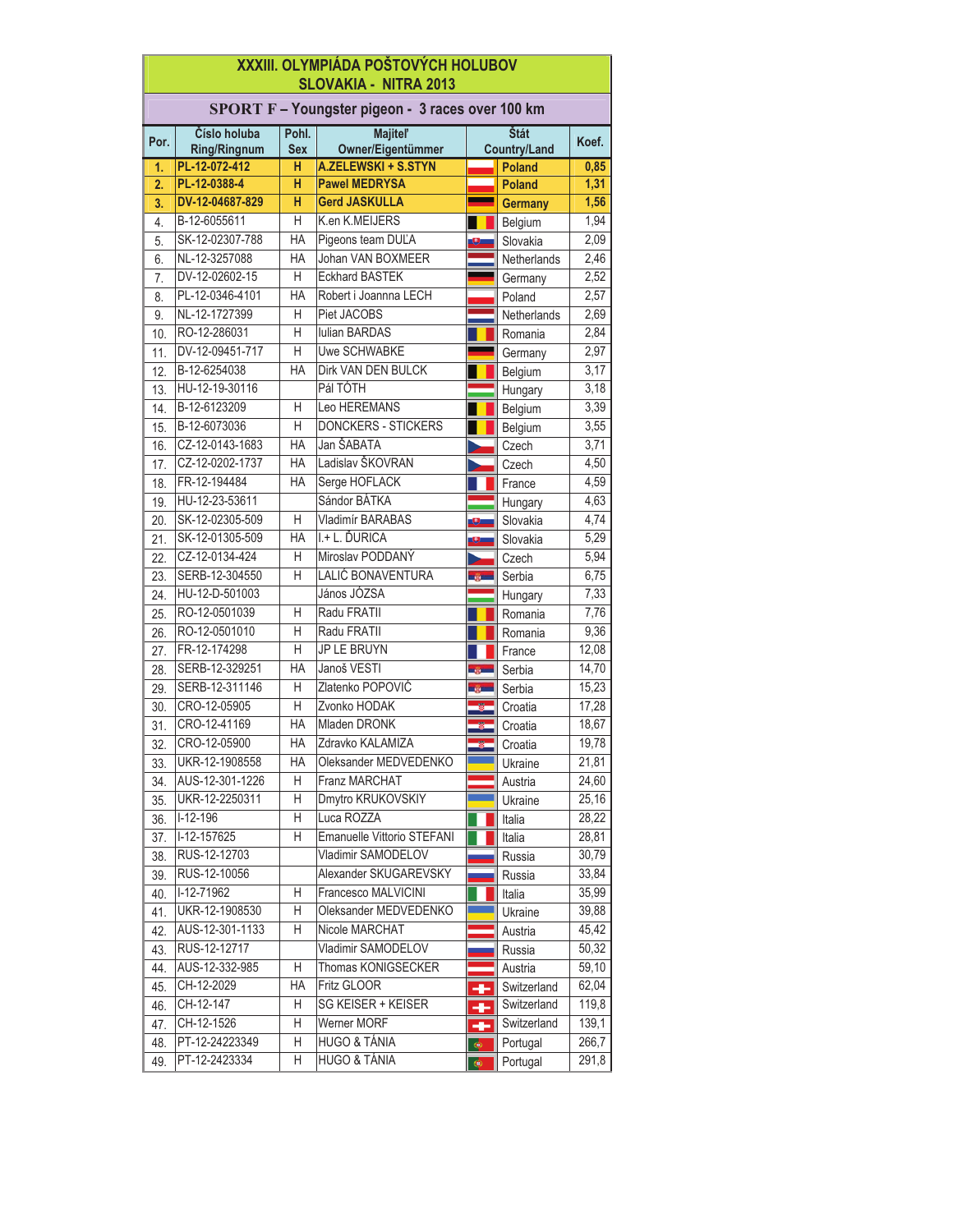|                  | XXXIII. OLYMPIÁDA POŠTOVÝCH HOLUBOV<br><b>SLOVAKIA - NITRA 2013</b> |                     |                                      |              |                             |                |  |
|------------------|---------------------------------------------------------------------|---------------------|--------------------------------------|--------------|-----------------------------|----------------|--|
|                  | SPORT F - Youngster pigeon - 3 races over 100 km                    |                     |                                      |              |                             |                |  |
| Por.             | Číslo holuba<br><b>Ring/Ringnum</b>                                 | Pohl.<br><b>Sex</b> | <b>Majitel'</b><br>Owner/Eigentümmer |              | Štát<br><b>Country/Land</b> | Koef.          |  |
| 1.               | PL-12-072-412                                                       | н                   | <b>A.ZELEWSKI + S.STYN</b>           |              | <b>Poland</b>               | 0,85           |  |
| $\overline{2}$ . | PL-12-0388-4                                                        | н                   | <b>Pawel MEDRYSA</b>                 |              | <b>Poland</b>               | 1,31           |  |
| 3.               | DV-12-04687-829                                                     | н                   | <b>Gerd JASKULLA</b>                 |              | <b>Germany</b>              | 1,56           |  |
| 4.               | B-12-6055611                                                        | H                   | K.en K.MEIJERS                       |              | Belgium                     | 1,94           |  |
| 5.               | SK-12-02307-788                                                     | <b>HA</b>           | Pigeons team DUL'A                   |              | Slovakia                    | 2,09           |  |
| 6.               | NL-12-3257088                                                       | <b>HA</b>           | Johan VAN BOXMEER                    |              | Netherlands                 | 2,46           |  |
| 7.               | DV-12-02602-15                                                      | H                   | <b>Eckhard BASTEK</b>                |              | Germany                     | 2,52           |  |
| 8.               | PL-12-0346-4101                                                     | <b>HA</b>           | Robert i Joannna LECH                |              | Poland                      | 2,57           |  |
| 9.               | NL-12-1727399                                                       | Η                   | Piet JACOBS                          |              | Netherlands                 | 2,69           |  |
| 10.              | RO-12-286031                                                        | H                   | <b>lulian BARDAS</b>                 |              | Romania                     | 2,84           |  |
| 11.              | DV-12-09451-717                                                     | H                   | <b>Uwe SCHWABKE</b>                  |              | Germany                     | 2,97           |  |
| 12.              | B-12-6254038                                                        | <b>HA</b>           | Dirk VAN DEN BULCK                   |              | Belgium                     | 3,17           |  |
| 13.              | HU-12-19-30116                                                      |                     | Pál TÓTH                             |              | Hungary                     | 3,18           |  |
| 14.              | B-12-6123209                                                        | Н                   | Leo HEREMANS                         |              | Belgium                     | 3,39           |  |
| 15.              | B-12-6073036                                                        | H                   | <b>DONCKERS - STICKERS</b>           |              | Belgium                     | 3,55           |  |
| 16.              | CZ-12-0143-1683                                                     | <b>HA</b>           | Jan ŠABATA                           |              | Czech                       | 3,71           |  |
| 17.              | CZ-12-0202-1737                                                     | <b>HA</b>           | Ladislav ŠKOVRAN                     |              | Czech                       | 4,50           |  |
| 18.              | FR-12-194484                                                        | <b>HA</b>           | Serge HOFLACK                        |              | France                      | 4,59           |  |
| 19.              | HU-12-23-53611                                                      |                     | Sándor BÁTKA                         |              | Hungary                     | 4,63           |  |
| 20.              | SK-12-02305-509                                                     | Н                   | Vladimír BARABAS                     |              | Slovakia                    | 4,74           |  |
| 21.              | SK-12-01305-509                                                     | <b>HA</b>           | I.+ L. ĎURICA                        |              | Slovakia                    | 5,29           |  |
| 22.              | CZ-12-0134-424                                                      | Н                   | Miroslav PODDANÝ                     |              | Czech                       | 5,94           |  |
| 23.              | SERB-12-304550                                                      | Н                   | LALIĆ BONAVENTURA                    | in de        | Serbia                      | 6,75           |  |
| 24.              | HU-12-D-501003                                                      |                     | János JÓZSA                          |              | Hungary                     | 7,33           |  |
| 25.              | RO-12-0501039                                                       | Н                   | Radu FRATII                          |              | Romania                     | 7,76           |  |
| 26.              | RO-12-0501010                                                       | Н                   | Radu FRATII                          |              | Romania                     | 9,36           |  |
| 27.              | FR-12-174298                                                        | H                   | JP LE BRUYN                          |              | France                      | 12,08          |  |
| 28.              | SERB-12-329251                                                      | <b>HA</b>           | Janoš VESTI                          | <b>CARDS</b> | Serbia                      | 14,70          |  |
| 29.              | SERB-12-311146                                                      | Η                   | Zlatenko POPOVIĆ                     |              | Serbia                      | 15,23          |  |
| 30.              | CRO-12-05905                                                        | Η                   | Zvonko HODAK                         |              | Croatia                     | 17,28          |  |
| 31.              | CRO-12-41169                                                        | <b>HA</b>           | Mladen DRONK                         |              | Croatia                     | 18,67          |  |
| 32.              | CRO-12-05900                                                        | <b>HA</b>           | Zdravko KALAMIZA                     |              | Croatia                     | 19,78          |  |
| 33.              | UKR-12-1908558                                                      | HA                  | Oleksander MEDVEDENKO                |              | Ukraine                     | 21,81          |  |
| 34.              | AUS-12-301-1226                                                     | H                   | Franz MARCHAT                        |              | Austria                     | 24,60          |  |
| 35.              | UKR-12-2250311                                                      | Η                   | Dmytro KRUKOVSKIY                    |              | Ukraine                     | 25,16          |  |
| 36.              | $I-12-196$                                                          | Η                   | Luca ROZZA                           |              | Italia                      | 28,22          |  |
| 37.              | $I-12-157625$                                                       | Η                   | Emanuelle Vittorio STEFANI           |              | Italia                      | 28,81          |  |
| 38.              | RUS-12-12703                                                        |                     | Vladimir SAMODELOV                   |              | Russia                      | 30,79          |  |
| 39.              | RUS-12-10056                                                        |                     | Alexander SKUGAREVSKY                |              | Russia                      | 33,84          |  |
| 40.              | $I-12-71962$                                                        | Η                   | Francesco MALVICINI                  |              | Italia                      | 35,99          |  |
| 41.              | UKR-12-1908530                                                      | Η                   | Oleksander MEDVEDENKO                |              | Ukraine                     | 39,88          |  |
| 42.              | AUS-12-301-1133                                                     | Η                   | Nicole MARCHAT<br>Vladimir SAMODELOV |              | Austria                     | 45,42          |  |
| 43.              | RUS-12-12717                                                        | Η                   | Thomas KONIGSECKER                   |              | Russia                      | 50,32          |  |
| 44.              | AUS-12-332-985<br>CH-12-2029                                        | HA                  |                                      |              | Austria                     | 59,10          |  |
| 45.              |                                                                     | Η                   | Fritz GLOOR<br>SG KEISER + KEISER    |              | Switzerland                 | 62,04          |  |
| 46.              | CH-12-147<br>CH-12-1526                                             | Η                   | Werner MORF                          |              | Switzerland<br>Switzerland  | 119,8<br>139,1 |  |
| 47.<br>48.       | PT-12-24223349                                                      | Η                   | HUGO & TÁNIA                         | ÷            | Portugal                    | 266,7          |  |
| 49.              | PT-12-2423334                                                       | Η                   | HUGO & TÁNIA                         | $\bullet$    | Portugal                    | 291,8          |  |
|                  |                                                                     |                     |                                      | $\bullet$    |                             |                |  |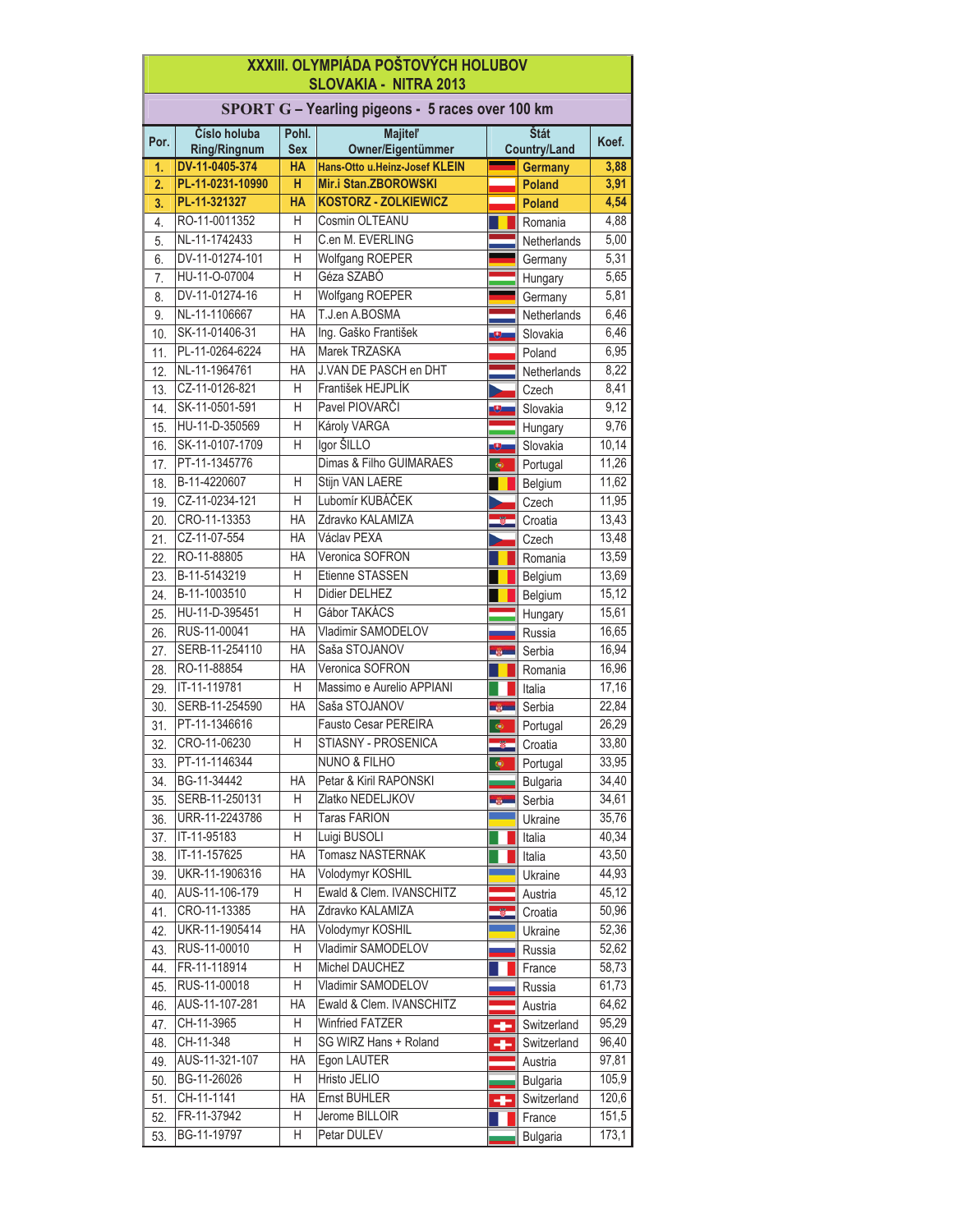## **XXXIII. OLYMPIÁDA POŠTOVÝCH HOLUBOV SLOVAKIA - NITRA 2013**

|                   | SPORT G - Yearling pigeons - 5 races over 100 km |                |                               |                 |                     |       |
|-------------------|--------------------------------------------------|----------------|-------------------------------|-----------------|---------------------|-------|
|                   | Číslo holuba                                     | Pohl.          | <b>Majitel'</b>               |                 | Štát                |       |
| Por.              | <b>Ring/Ringnum</b>                              | <b>Sex</b>     | Owner/Eigentümmer             |                 | <b>Country/Land</b> | Koef. |
| $\mathbf{1}$      | DV-11-0405-374                                   | <b>HA</b>      | Hans-Otto u.Heinz-Josef KLEIN |                 | <b>Germany</b>      | 3,88  |
| 2.                | PL-11-0231-10990                                 | H              | Mir.i Stan.ZBOROWSKI          |                 | <b>Poland</b>       | 3,91  |
| 3.                | PL-11-321327                                     | <b>HA</b>      | <b>KOSTORZ - ZOLKIEWICZ</b>   |                 | <b>Poland</b>       | 4,54  |
| 4.                | RO-11-0011352                                    | H              | Cosmin OLTEANU                |                 | Romania             | 4,88  |
| 5.                | NL-11-1742433                                    | H              | C.en M. EVERLING              |                 | Netherlands         | 5,00  |
| 6.                | DV-11-01274-101                                  | H              | <b>Wolfgang ROEPER</b>        |                 | Germany             | 5,31  |
| 7.                | HU-11-O-07004                                    | H              | Géza SZABÓ                    |                 | Hungary             | 5,65  |
| 8.                | DV-11-01274-16                                   | $\overline{H}$ | <b>Wolfgang ROEPER</b>        |                 | Germany             | 5,81  |
| 9.                | NL-11-1106667                                    | HA             | T.J.en A.BOSMA                |                 | Netherlands         | 6,46  |
| 10.               | SK-11-01406-31                                   | HA             | Ing. Gaško František          | Ω               | Slovakia            | 6,46  |
| 11.               | PL-11-0264-6224                                  | <b>HA</b>      | Marek TRZASKA                 |                 | Poland              | 6,95  |
| 12.               | NL-11-1964761                                    | <b>HA</b>      | J.VAN DE PASCH en DHT         |                 | Netherlands         | 8,22  |
| 13.               | CZ-11-0126-821                                   | H              | František HEJPLÍK             |                 | Czech               | 8,41  |
| 14.               | SK-11-0501-591                                   | H              | Pavel PIOVARČI                | Θ               | Slovakia            | 9,12  |
| 15.               | HU-11-D-350569                                   | H              | Károly VARGA                  |                 | Hungary             | 9,76  |
| 16.               | SK-11-0107-1709                                  | H              | Igor ŠILLO                    | Θ               | Slovakia            | 10,14 |
| 17.               | PT-11-1345776                                    |                | Dimas & Filho GUIMARAES       | ¢               | Portugal            | 11,26 |
| 18.               | B-11-4220607                                     | H              | Stijn VAN LAERE               |                 | Belgium             | 11,62 |
| 19.               | CZ-11-0234-121                                   | $\overline{H}$ | Lubomír KUBÁČEK               |                 | Czech               | 11,95 |
| 20.               | CRO-11-13353                                     | HA             | Zdravko KALAMIZA              |                 | Croatia             | 13,43 |
| 21.               | CZ-11-07-554                                     | <b>HA</b>      | Václav PEXA                   |                 | Czech               | 13,48 |
| 22.               | RO-11-88805                                      | <b>HA</b>      | Veronica SOFRON               |                 | Romania             | 13,59 |
| 23.               | B-11-5143219                                     | H              | Etienne STASSEN               |                 | Belgium             | 13,69 |
| 24.               | B-11-1003510                                     | H              | Didier DELHEZ                 |                 | Belgium             | 15,12 |
| 25.               | HU-11-D-395451                                   | $\overline{H}$ | Gábor TAKÁCS                  |                 | Hungary             | 15,61 |
| 26.               | RUS-11-00041                                     | <b>HA</b>      | Vladimir SAMODELOV            |                 | Russia              | 16,65 |
| 27.               | SERB-11-254110                                   | <b>HA</b>      | Saša STOJANOV                 | <b>CONTRACT</b> | Serbia              | 16,94 |
| 28.               | RO-11-88854                                      | <b>HA</b>      | Veronica SOFRON               |                 | Romania             | 16,96 |
| 29.               | IT-11-119781                                     | Н              | Massimo e Aurelio APPIANI     |                 | Italia              | 17,16 |
| 30.               | SERB-11-254590                                   | <b>HA</b>      | Saša STOJANOV                 | ağı i           | Serbia              | 22,84 |
| 31.               | PT-11-1346616                                    |                | Fausto Cesar PEREIRA          | ф               | Portugal            | 26,29 |
| 32.               | CRO-11-06230                                     | H              | STIASNY - PROSENICA           |                 | Croatia             | 33,80 |
| 33.               | PT-11-1146344                                    |                | <b>NUNO &amp; FILHO</b>       | ф               | Portugal            | 33,95 |
| 34.               | BG-11-34442                                      | <b>HA</b>      | Petar & Kiril RAPONSKI        |                 | <b>Bulgaria</b>     | 34,40 |
| $\overline{35}$ . | SERB-11-250131                                   | Η              | Zlatko NEDELJKOV              | <b>SOFT</b>     | Serbia              | 34,61 |
| 36.               | URR-11-2243786                                   | Η              | <b>Taras FARION</b>           |                 | Ukraine             | 35,76 |
| 37.               | IT-11-95183                                      | Η              | Luigi BUSOLI                  |                 | Italia              | 40,34 |
| 38.               | IT-11-157625                                     | HA             | Tomasz NASTERNAK              |                 | Italia              | 43,50 |
| 39.               | UKR-11-1906316                                   | HA             | Volodymyr KOSHIL              |                 | Ukraine             | 44,93 |
| 40.               | AUS-11-106-179                                   | Η              | Ewald & Clem. IVANSCHITZ      |                 | Austria             | 45,12 |
| 41.               | CRO-11-13385                                     | HA             | Zdravko KALAMIZA              |                 | Croatia             | 50,96 |
| 42.               | UKR-11-1905414                                   | HA             | Volodymyr KOSHIL              |                 | Ukraine             | 52,36 |
| 43.               | RUS-11-00010                                     | Η              | Vladimir SAMODELOV            |                 | Russia              | 52,62 |
| 44.               | FR-11-118914                                     | Η              | Michel DAUCHEZ                |                 | France              | 58,73 |
| 45.               | RUS-11-00018                                     | Η              | Vladimir SAMODELOV            |                 | Russia              | 61,73 |
| 46.               | AUS-11-107-281                                   | HA             | Ewald & Clem. IVANSCHITZ      |                 | Austria             | 64,62 |
| 47.               | CH-11-3965                                       | Η              | <b>Winfried FATZER</b>        |                 | Switzerland         | 95,29 |
|                   | CH-11-348                                        | Η              | SG WIRZ Hans + Roland         | -               | Switzerland         | 96,40 |
| 48.<br>49.        | AUS-11-321-107                                   | HA             | Egon LAUTER                   | -               | Austria             | 97,81 |
|                   | BG-11-26026                                      | Η              | Hristo JELIO                  |                 |                     |       |
| 50.               | CH-11-1141                                       | HA             | Ernst BUHLER                  |                 | <b>Bulgaria</b>     | 105,9 |
| 51.               | FR-11-37942                                      | Η              | Jerome BILLOIR                | -               | Switzerland         | 120,6 |
| 52.               |                                                  |                |                               |                 | France              | 151,5 |
| 53.               | BG-11-19797                                      | Η              | Petar DULEV                   |                 | <b>Bulgaria</b>     | 173,1 |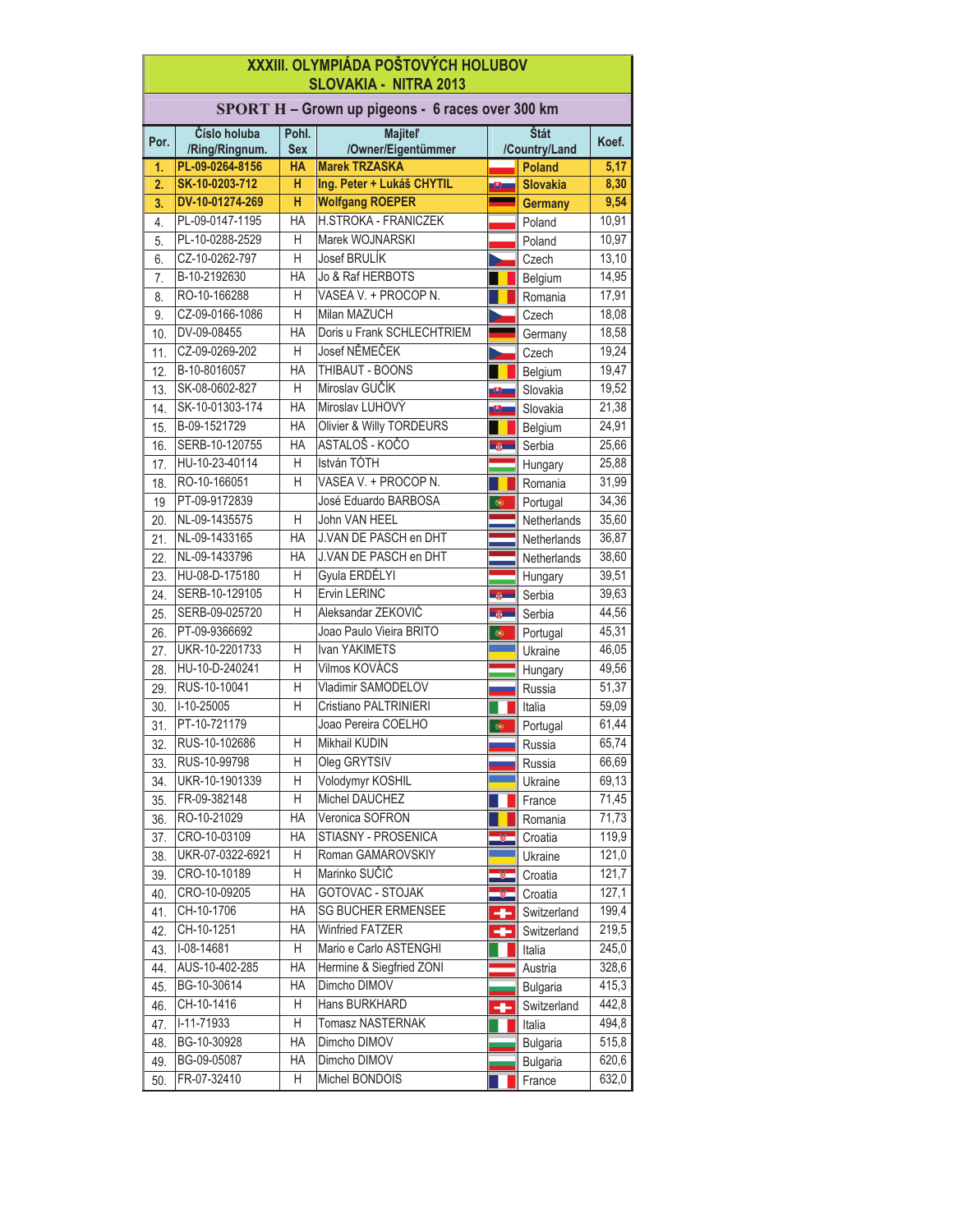|                                                                                                                                 | XXXIII. OLYMPIÁDA POŠTOVÝCH HOLUBOV<br><b>SLOVAKIA - NITRA 2013</b> |           |                                                  |                |                 |       |  |
|---------------------------------------------------------------------------------------------------------------------------------|---------------------------------------------------------------------|-----------|--------------------------------------------------|----------------|-----------------|-------|--|
|                                                                                                                                 |                                                                     |           | SPORT H - Grown up pigeons - 6 races over 300 km |                |                 |       |  |
| Číslo holuba<br>Štát<br><b>Majitel'</b><br>Pohl.<br>Por.<br>/Owner/Eigentümmer<br><b>Sex</b><br>/Country/Land<br>/Ring/Ringnum. |                                                                     |           |                                                  |                |                 | Koef. |  |
| 1.                                                                                                                              | PL-09-0264-8156                                                     | <b>HA</b> | <b>Marek TRZASKA</b>                             |                | <b>Poland</b>   | 5,17  |  |
| 2.                                                                                                                              | SK-10-0203-712                                                      | н         | Ing. Peter + Lukáš CHYTIL                        | Đ              | <b>Slovakia</b> | 8,30  |  |
| 3.                                                                                                                              | DV-10-01274-269                                                     | H         | <b>Wolfgang ROEPER</b>                           |                | <b>Germany</b>  | 9,54  |  |
| 4.                                                                                                                              | PL-09-0147-1195                                                     | <b>HA</b> | H.STROKA - FRANICZEK                             |                | Poland          | 10,91 |  |
| 5.                                                                                                                              | PL-10-0288-2529                                                     | H         | Marek WOJNARSKI                                  |                | Poland          | 10,97 |  |
| 6.                                                                                                                              | CZ-10-0262-797                                                      | H         | Josef BRULÍK                                     |                | Czech           | 13,10 |  |
| 7.                                                                                                                              | B-10-2192630                                                        | HA        | Jo & Raf HERBOTS                                 |                | Belgium         | 14,95 |  |
| 8.                                                                                                                              | RO-10-166288                                                        | Η         | VASEA V. + PROCOP N.                             |                | Romania         | 17,91 |  |
| 9.                                                                                                                              | CZ-09-0166-1086                                                     | H         | <b>Milan MAZUCH</b>                              |                | Czech           | 18,08 |  |
| 10.                                                                                                                             | DV-09-08455                                                         | <b>HA</b> | Doris u Frank SCHLECHTRIEM                       |                | Germany         | 18,58 |  |
| 11.                                                                                                                             | CZ-09-0269-202                                                      | H         | Josef NĚMEČEK                                    |                | Czech           | 19,24 |  |
| 12.                                                                                                                             | B-10-8016057                                                        | <b>HA</b> | <b>THIBAUT - BOONS</b>                           |                | Belgium         | 19,47 |  |
| 13.                                                                                                                             | SK-08-0602-827                                                      | H         | Miroslav GUČÍK                                   | Θ              | Slovakia        | 19,52 |  |
| 14.                                                                                                                             | SK-10-01303-174                                                     | <b>HA</b> | Miroslav LUHOVÝ                                  | Đ              | Slovakia        | 21,38 |  |
| 15.                                                                                                                             | B-09-1521729                                                        | <b>HA</b> | <b>Olivier &amp; Willy TORDEURS</b>              |                | Belgium         | 24,91 |  |
| 16.                                                                                                                             | SERB-10-120755                                                      | <b>HA</b> | ASTALOŠ - KOČO                                   | <b>CONTENT</b> | Serbia          | 25,66 |  |
| 17.                                                                                                                             | HU-10-23-40114                                                      | H         | István TÓTH                                      |                | Hungary         | 25,88 |  |
| 18.                                                                                                                             | RO-10-166051                                                        | H         | VASEA V. + PROCOP N.                             |                | Romania         | 31,99 |  |
| 19                                                                                                                              | PT-09-9172839                                                       |           | José Eduardo BARBOSA                             | $\bullet$      | Portugal        | 34,36 |  |
| 20.                                                                                                                             | NL-09-1435575                                                       | H         | John VAN HEEL                                    |                | Netherlands     | 35,60 |  |
| 21.                                                                                                                             | NL-09-1433165                                                       | <b>HA</b> | J.VAN DE PASCH en DHT                            |                | Netherlands     | 36,87 |  |
| 22.                                                                                                                             | NL-09-1433796                                                       | <b>HA</b> | J.VAN DE PASCH en DHT                            |                | Netherlands     | 38,60 |  |
| 23.                                                                                                                             | HU-08-D-175180                                                      | Н         | Gyula ERDÉLYI                                    |                | Hungary         | 39,51 |  |
| 24.                                                                                                                             | SERB-10-129105                                                      | H         | Ervin LERINC                                     | mille:         | Serbia          | 39,63 |  |
| 25.                                                                                                                             | SERB-09-025720                                                      | Η         | Aleksandar ZEKOVIĆ                               | <u>injer</u>   | Serbia          | 44,56 |  |
| 26.                                                                                                                             | PT-09-9366692                                                       |           | Joao Paulo Vieira BRITO                          | $\bullet$      | Portugal        | 45,31 |  |
| 27.                                                                                                                             | UKR-10-2201733                                                      | н         | Ivan YAKIMETS                                    |                | Ukraine         | 46,05 |  |
| 28.                                                                                                                             | HU-10-D-240241                                                      | H         | Vilmos KOVÁCS                                    |                | Hungary         | 49,56 |  |
| 29.                                                                                                                             | RUS-10-10041                                                        | H         | Vladimir SAMODELOV                               |                | Russia          | 51,37 |  |
| 30.                                                                                                                             | $I-10-25005$                                                        | H         | Cristiano PALTRINIERI                            |                | Italia          | 59,09 |  |
| 31.                                                                                                                             | PT-10-721179                                                        |           | Joao Pereira COELHO                              | $\bullet$      | Portugal        | 61,44 |  |
| 32.                                                                                                                             | RUS-10-102686                                                       | н         | Mikhail KUDIN                                    |                | Russia          | 65,74 |  |
| 33.                                                                                                                             | RUS-10-99798                                                        | Η         | Oleg GRYTSIV                                     |                | Russia          | 66,69 |  |
| 34.                                                                                                                             | UKR-10-1901339                                                      | Η         | Volodymyr KOSHIL                                 |                | Ukraine         | 69,13 |  |
| 35.                                                                                                                             | FR-09-382148                                                        | Η         | Michel DAUCHEZ                                   |                | France          | 71,45 |  |
| 36.                                                                                                                             | RO-10-21029                                                         | HA        | Veronica SOFRON                                  |                | Romania         | 71,73 |  |
| 37.                                                                                                                             | CRO-10-03109                                                        | HA        | STIASNY - PROSENICA                              |                | Croatia         | 119,9 |  |
| 38.                                                                                                                             | UKR-07-0322-6921                                                    | Η         | Roman GAMAROVSKIY                                |                | Ukraine         | 121,0 |  |
| 39.                                                                                                                             | CRO-10-10189                                                        | Η         | Marinko SUČIĆ                                    |                | Croatia         | 121,7 |  |
| 40.                                                                                                                             | CRO-10-09205                                                        | HA        | GOTOVAC - STOJAK                                 |                | Croatia         | 127,1 |  |
| 41.                                                                                                                             | CH-10-1706                                                          | HA        | <b>SG BUCHER ERMENSEE</b>                        |                | Switzerland     | 199,4 |  |
| 42.                                                                                                                             | CH-10-1251                                                          | HA        | <b>Winfried FATZER</b>                           | ÷              | Switzerland     | 219,5 |  |
| 43.                                                                                                                             | $I-08-14681$                                                        | Н         | Mario e Carlo ASTENGHI                           |                | Italia          | 245,0 |  |
| 44.                                                                                                                             | AUS-10-402-285                                                      | HA        | Hermine & Siegfried ZONI                         |                | Austria         | 328,6 |  |
| 45.                                                                                                                             | BG-10-30614                                                         | HA        | Dimcho DIMOV                                     |                | <b>Bulgaria</b> | 415,3 |  |
| 46.                                                                                                                             | CH-10-1416                                                          | Η         | Hans BURKHARD                                    | ٠              | Switzerland     | 442,8 |  |
| 47.                                                                                                                             | $I-11-71933$                                                        | Н         | Tomasz NASTERNAK                                 |                | Italia          | 494,8 |  |
| 48.                                                                                                                             | BG-10-30928                                                         | HA        | Dimcho DIMOV                                     |                | <b>Bulgaria</b> | 515,8 |  |
| 49.                                                                                                                             | BG-09-05087                                                         | HA        | Dimcho DIMOV                                     |                | <b>Bulgaria</b> | 620,6 |  |
| 50.                                                                                                                             | FR-07-32410                                                         | Η         | Michel BONDOIS                                   |                | France          | 632,0 |  |
|                                                                                                                                 |                                                                     |           |                                                  |                |                 |       |  |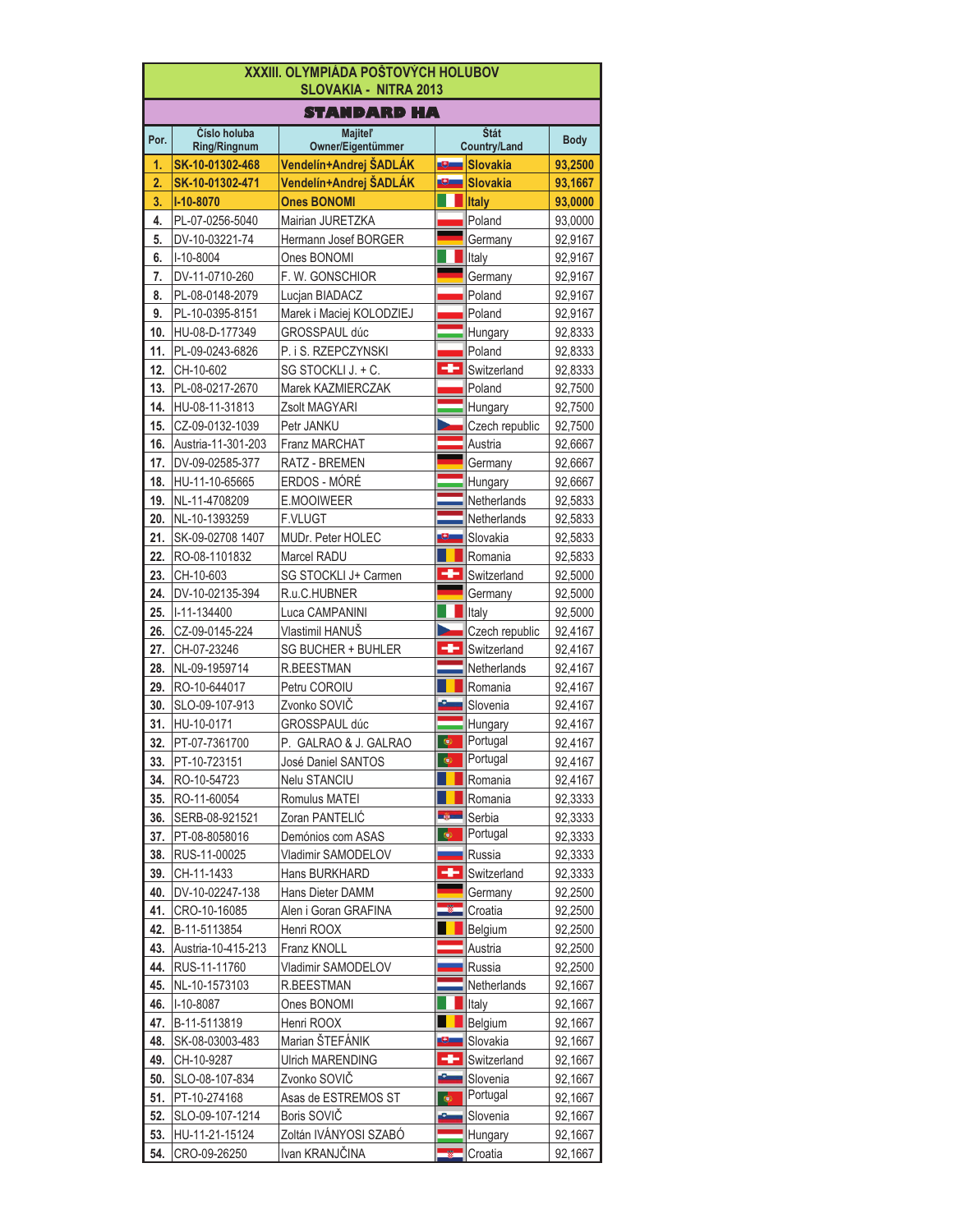| <b>XXXIII. OLYMPIÁDA POŠTOVÝCH HOLUBOV</b><br><b>SLOVAKIA - NITRA 2013</b> |                                        |                                             |                 |                                        |                    |  |
|----------------------------------------------------------------------------|----------------------------------------|---------------------------------------------|-----------------|----------------------------------------|--------------------|--|
|                                                                            |                                        | <b>STANDARD HA</b>                          |                 |                                        |                    |  |
| Por.                                                                       | Číslo holuba                           | <b>Majitel'</b>                             |                 | Štát                                   | <b>Body</b>        |  |
| 1.                                                                         | <b>Ring/Ringnum</b><br>SK-10-01302-468 | Owner/Eigentümmer<br>Vendelín+Andrej ŠADLÁK | J.              | <b>Country/Land</b><br><b>Slovakia</b> | 93,2500            |  |
| 2.                                                                         | SK-10-01302-471                        | Vendelín+Andrej ŠADLÁK                      | œ,              | <b>Slovakia</b>                        | 93,1667            |  |
| 3.                                                                         | I-10-8070                              | <b>Ones BONOMI</b>                          |                 | <b>Italy</b>                           | 93,0000            |  |
| 4.                                                                         | PL-07-0256-5040                        | Mairian JURETZKA                            |                 | Poland                                 | 93,0000            |  |
| 5.                                                                         | DV-10-03221-74                         | Hermann Josef BORGER                        |                 | Germany                                | 92,9167            |  |
| 6.                                                                         | $I-10-8004$                            | Ones BONOMI                                 |                 | Italy                                  | 92,9167            |  |
| 7.                                                                         | DV-11-0710-260                         | F. W. GONSCHIOR                             |                 | Germany                                | 92,9167            |  |
| 8.                                                                         | PL-08-0148-2079                        | Lucjan BIADACZ                              |                 | Poland                                 | 92,9167            |  |
| 9.                                                                         | PL-10-0395-8151                        | Marek i Maciej KOLODZIEJ                    |                 | Poland                                 | 92,9167            |  |
| 10.                                                                        | HU-08-D-177349                         | GROSSPAUL dúc                               |                 | Hungary                                | 92,8333            |  |
| 11.                                                                        | PL-09-0243-6826                        | P. i S. RZEPCZYNSKI                         |                 | Poland                                 | 92,8333            |  |
| 12.                                                                        | CH-10-602                              | SG STOCKLI J. + C.                          |                 | Switzerland                            | 92,8333            |  |
| 13.                                                                        | PL-08-0217-2670                        | Marek KAZMIERCZAK                           |                 | Poland                                 | 92,7500            |  |
| 14.                                                                        | HU-08-11-31813                         | Zsolt MAGYARI                               |                 | Hungary                                | 92,7500            |  |
| 15.                                                                        | CZ-09-0132-1039                        | Petr JANKU                                  |                 | Czech republic                         | 92,7500            |  |
| 16.                                                                        | Austria-11-301-203                     | <b>Franz MARCHAT</b>                        |                 | Austria                                | 92,6667            |  |
| 17.                                                                        | DV-09-02585-377                        | RATZ - BREMEN                               |                 | Germany                                | 92,6667            |  |
| 18.                                                                        | HU-11-10-65665                         | ERDOS - MÓRÉ                                |                 | Hungary                                | 92,6667            |  |
| 19.                                                                        | NL-11-4708209                          | E.MOOIWEER                                  |                 | Netherlands                            | 92,5833            |  |
| 20.                                                                        | NL-10-1393259                          | <b>F.VLUGT</b>                              |                 | Netherlands                            | 92,5833            |  |
| 21.                                                                        | SK-09-02708 1407                       | MUDr. Peter HOLEC                           |                 | Slovakia                               | 92,5833            |  |
| 22.                                                                        | RO-08-1101832                          | Marcel RADU                                 |                 | Romania                                | 92,5833            |  |
| 23.                                                                        | CH-10-603                              | SG STOCKLI J+ Carmen                        | ÷               | Switzerland                            | 92,5000            |  |
| 24.<br>25.                                                                 | DV-10-02135-394<br>I-11-134400         | R.u.C.HUBNER<br>Luca CAMPANINI              |                 | Germany<br>Italy                       | 92,5000            |  |
| 26.                                                                        | CZ-09-0145-224                         | Vlastimil HANUŠ                             |                 | Czech republic                         | 92,5000<br>92,4167 |  |
| 27.                                                                        | CH-07-23246                            | SG BUCHER + BUHLER                          | ÷               | Switzerland                            | 92,4167            |  |
| 28.                                                                        | NL-09-1959714                          | R.BEESTMAN                                  |                 | Netherlands                            | 92,4167            |  |
| 29.                                                                        | RO-10-644017                           | Petru COROIU                                |                 | Romania                                | 92,4167            |  |
| 30.                                                                        | SLO-09-107-913                         | Zvonko SOVIČ                                |                 | Slovenia                               | 92,4167            |  |
| 31.                                                                        | HU-10-0171                             | GROSSPAUL dúc                               |                 | Hungary                                | 92,4167            |  |
| 32.                                                                        | PT-07-7361700                          | P. GALRAO & J. GALRAO                       | ¢               | Portugal                               | 92,4167            |  |
|                                                                            | 33. PT-10-723151                       | José Daniel SANTOS                          |                 | Portugal                               | 92,4167            |  |
| 34.                                                                        | RO-10-54723                            | Nelu STANCIU                                |                 | Romania                                | 92,4167            |  |
| 35.                                                                        | RO-11-60054                            | Romulus MATEI                               |                 | Romania                                | 92,3333            |  |
| 36.                                                                        | SERB-08-921521                         | Zoran PANTELIC                              | <b>Links</b>    | Serbia                                 | 92,3333            |  |
| 37.                                                                        | PT-08-8058016                          | Demónios com ASAS                           | ۰               | Portugal                               | 92,3333            |  |
| 38.                                                                        | RUS-11-00025                           | Vladimir SAMODELOV                          |                 | Russia                                 | 92,3333            |  |
| 39.                                                                        | CH-11-1433                             | Hans BURKHARD                               |                 | Switzerland                            | 92,3333            |  |
| 40.                                                                        | DV-10-02247-138                        | Hans Dieter DAMM                            |                 | Germany                                | 92,2500            |  |
| 41.                                                                        | CRO-10-16085                           | Alen i Goran GRAFINA                        |                 | Croatia                                | 92,2500            |  |
| 42.                                                                        | B-11-5113854                           | Henri ROOX                                  |                 | Belgium                                | 92,2500            |  |
| 43.                                                                        | Austria-10-415-213                     | Franz KNOLL                                 |                 | Austria                                | 92,2500            |  |
| 44.                                                                        | RUS-11-11760                           | Vladimir SAMODELOV                          |                 | Russia                                 | 92,2500            |  |
| 45.                                                                        | NL-10-1573103                          | R.BEESTMAN                                  |                 | Netherlands                            | 92,1667            |  |
| 46.                                                                        | I-10-8087                              | Ones BONOMI                                 |                 | Italy                                  | 92,1667            |  |
| 47.                                                                        | B-11-5113819                           | Henri ROOX                                  |                 | Belgium                                | 92,1667            |  |
| 48.                                                                        | SK-08-03003-483                        | Marian ŠTEFÁNIK                             |                 | Slovakia                               | 92,1667            |  |
| 49.                                                                        | CH-10-9287                             | <b>Ulrich MARENDING</b>                     | ÷<br>عتا        | Switzerland                            | 92,1667            |  |
| 50.                                                                        | SLO-08-107-834                         | Zvonko SOVIČ                                |                 | Slovenia<br>Portugal                   | 92,1667            |  |
| 51.<br>52.                                                                 | PT-10-274168<br>SLO-09-107-1214        | Asas de ESTREMOS ST<br>Boris SOVIČ          | $\bullet$<br>ست | Slovenia                               | 92,1667            |  |
| 53.                                                                        | HU-11-21-15124                         | Zoltán IVÁNYOSI SZABÓ                       |                 | Hungary                                | 92,1667<br>92,1667 |  |
| 54.                                                                        | CRO-09-26250                           | Ivan KRANJČINA                              |                 | Croatia                                | 92,1667            |  |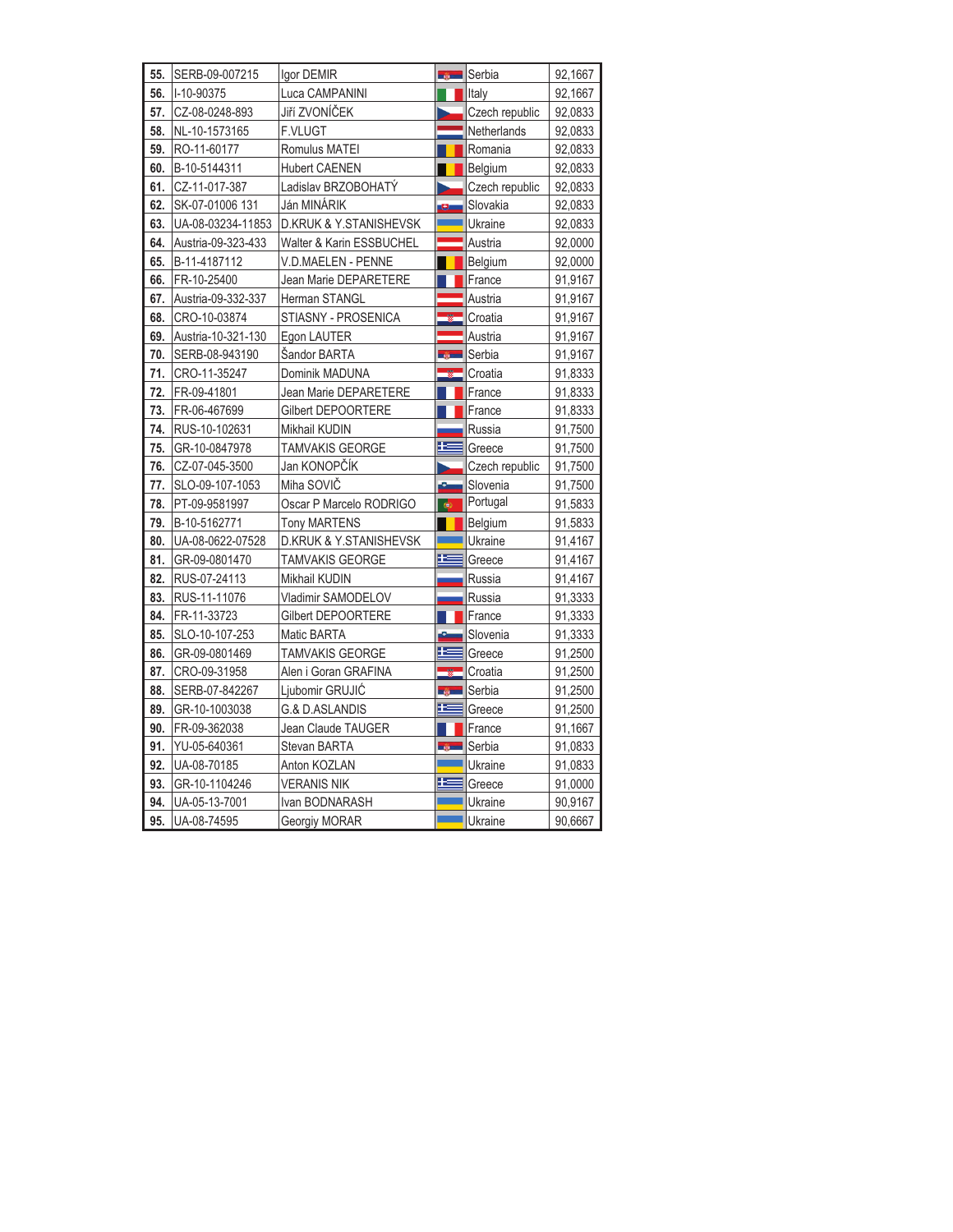| 55. | SERB-09-007215     | Igor DEMIR                        | <b>SALE</b>         | Serbia         | 92,1667 |
|-----|--------------------|-----------------------------------|---------------------|----------------|---------|
| 56. | I-10-90375         | Luca CAMPANINI                    |                     | Italy          | 92,1667 |
| 57. | CZ-08-0248-893     | Jiří ZVONÍČEK                     |                     | Czech republic | 92,0833 |
| 58. | NL-10-1573165      | <b>F.VLUGT</b>                    |                     | Netherlands    | 92,0833 |
| 59. | RO-11-60177        | Romulus MATEI                     |                     | Romania        | 92,0833 |
| 60. | B-10-5144311       | <b>Hubert CAENEN</b>              |                     | Belgium        | 92,0833 |
| 61. | CZ-11-017-387      | Ladislav BRZOBOHATÝ               |                     | Czech republic | 92,0833 |
| 62. | SK-07-01006 131    | Ján MINÁRIK                       | U                   | Slovakia       | 92,0833 |
| 63. | UA-08-03234-11853  | <b>D.KRUK &amp; Y.STANISHEVSK</b> |                     | Ukraine        | 92,0833 |
| 64. | Austria-09-323-433 | Walter & Karin ESSBUCHEL          |                     | Austria        | 92,0000 |
| 65. | B-11-4187112       | V.D.MAELEN - PENNE                |                     | Belgium        | 92,0000 |
| 66. | FR-10-25400        | Jean Marie DEPARETERE             |                     | France         | 91,9167 |
| 67. | Austria-09-332-337 | Herman STANGL                     |                     | Austria        | 91,9167 |
| 68. | CRO-10-03874       | STIASNY - PROSENICA               |                     | Croatia        | 91,9167 |
| 69. | Austria-10-321-130 | Egon LAUTER                       |                     | Austria        | 91,9167 |
| 70. | SERB-08-943190     | Sandor BARTA                      | <u>in Wa</u>        | Serbia         | 91,9167 |
| 71. | CRO-11-35247       | Dominik MADUNA                    |                     | Croatia        | 91,8333 |
| 72. | FR-09-41801        | Jean Marie DEPARETERE             |                     | France         | 91,8333 |
| 73. | FR-06-467699       | Gilbert DEPOORTERE                |                     | France         | 91,8333 |
| 74. | RUS-10-102631      | Mikhail KUDIN                     |                     | Russia         | 91,7500 |
| 75. | GR-10-0847978      | <b>TAMVAKIS GEORGE</b>            | æ                   | Greece         | 91,7500 |
| 76. | CZ-07-045-3500     | Jan KONOPČÍK                      |                     | Czech republic | 91,7500 |
| 77. | SLO-09-107-1053    | Miha SOVIČ                        | ستقا                | Slovenia       | 91,7500 |
| 78. | PT-09-9581997      | Oscar P Marcelo RODRIGO           | $\bullet$           | Portugal       | 91,5833 |
| 79. | B-10-5162771       | <b>Tony MARTENS</b>               |                     | Belgium        | 91,5833 |
| 80. | UA-08-0622-07528   | <b>D.KRUK &amp; Y.STANISHEVSK</b> |                     | Ukraine        | 91,4167 |
| 81. | GR-09-0801470      | TAMVAKIS GEORGE                   | E                   | Greece         | 91,4167 |
| 82. | RUS-07-24113       | Mikhail KUDIN                     |                     | Russia         | 91,4167 |
| 83. | RUS-11-11076       | Vladimir SAMODELOV                |                     | Russia         | 91,3333 |
| 84. | FR-11-33723        | Gilbert DEPOORTERE                |                     | France         | 91,3333 |
| 85. | SLO-10-107-253     | Matic BARTA                       | ė                   | Slovenia       | 91,3333 |
| 86. | GR-09-0801469      | <b>TAMVAKIS GEORGE</b>            | æ                   | Greece         | 91,2500 |
| 87. | CRO-09-31958       | Alen i Goran GRAFINA              |                     | Croatia        | 91,2500 |
| 88. | SERB-07-842267     | Ljubomir GRUJIĆ                   | <b>Sales Street</b> | Serbia         | 91,2500 |
| 89. | GR-10-1003038      | G.& D.ASLANDIS                    | É                   | Greece         | 91,2500 |
| 90. | FR-09-362038       | Jean Claude TAUGER                |                     | France         | 91,1667 |
| 91. | YU-05-640361       | Stevan BARTA                      | <b>Service</b>      | Serbia         | 91,0833 |
| 92. | UA-08-70185        | Anton KOZLAN                      |                     | Ukraine        | 91,0833 |
| 93. | GR-10-1104246      | <b>VERANIS NIK</b>                | æ                   | Greece         | 91,0000 |
| 94. | UA-05-13-7001      | Ivan BODNARASH                    |                     | Ukraine        | 90,9167 |
| 95. | UA-08-74595        | Georgiy MORAR                     |                     | Ukraine        | 90,6667 |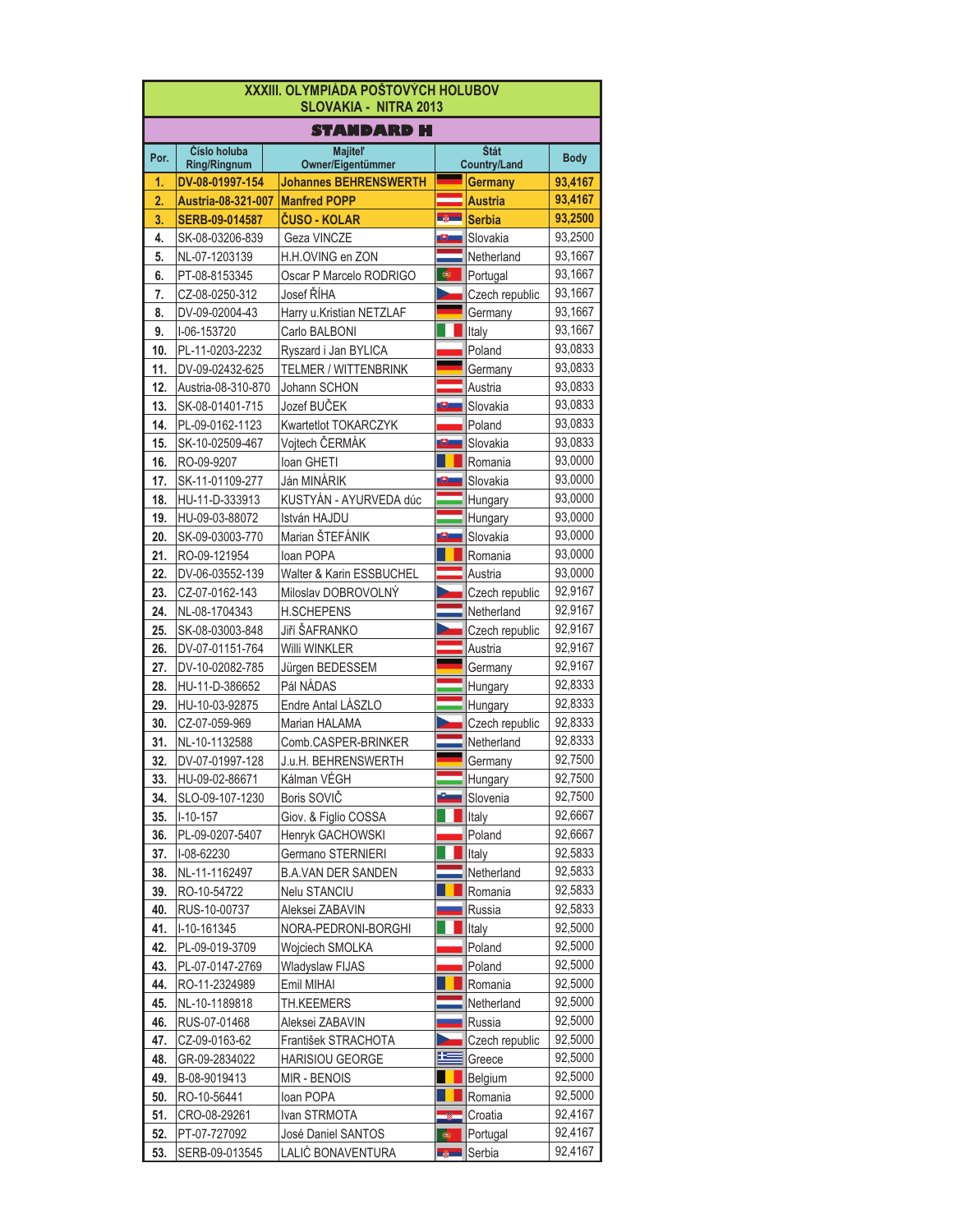| XXXIII. OLYMPIÁDA POŠTOVÝCH HOLUBOV<br><b>SLOVAKIA - NITRA 2013</b> |                                     |                                       |              |                             |                    |  |  |  |
|---------------------------------------------------------------------|-------------------------------------|---------------------------------------|--------------|-----------------------------|--------------------|--|--|--|
|                                                                     | STANDARD H                          |                                       |              |                             |                    |  |  |  |
| Por.                                                                | Číslo holuba<br><b>Ring/Ringnum</b> | <b>Majitel'</b><br>Owner/Eigentümmer  |              | Štát<br><b>Country/Land</b> | <b>Body</b>        |  |  |  |
| 1.                                                                  | DV-08-01997-154                     | <b>Johannes BEHRENSWERTH</b>          |              | Germany                     | 93,4167            |  |  |  |
| 2.                                                                  | Austria-08-321-007                  | <b>Manfred POPP</b>                   |              | <b>Austria</b>              | 93,4167            |  |  |  |
| 3.                                                                  | SERB-09-014587                      | ČUSO - KOLAR                          | <u>aya</u>   | <b>Serbia</b>               | 93,2500            |  |  |  |
| 4.                                                                  | SK-08-03206-839                     | Geza VINCZE                           |              | Slovakia                    | 93,2500            |  |  |  |
| 5.                                                                  | NL-07-1203139                       | H.H.OVING en ZON                      |              | Netherland                  | 93,1667            |  |  |  |
| 6.                                                                  | PT-08-8153345                       | Oscar P Marcelo RODRIGO               | ۰            | Portugal                    | 93,1667            |  |  |  |
| 7.                                                                  | CZ-08-0250-312                      | Josef ŘÍHA                            |              | Czech republic              | 93,1667            |  |  |  |
| 8.                                                                  | DV-09-02004-43                      | Harry u.Kristian NETZLAF              |              | Germany                     | 93,1667            |  |  |  |
| 9.                                                                  | I-06-153720                         | Carlo BALBONI                         |              | Italy                       | 93,1667            |  |  |  |
| 10.                                                                 | PL-11-0203-2232                     | Ryszard i Jan BYLICA                  |              | Poland                      | 93,0833            |  |  |  |
| 11.                                                                 | DV-09-02432-625                     | TELMER / WITTENBRINK                  |              | Germany                     | 93,0833            |  |  |  |
| 12.                                                                 | Austria-08-310-870                  | Johann SCHON                          |              | Austria                     | 93,0833            |  |  |  |
| 13.                                                                 | SK-08-01401-715                     | Jozef BUČEK                           |              | Slovakia                    | 93,0833            |  |  |  |
| 14.                                                                 | PL-09-0162-1123                     | Kwartetlot TOKARCZYK                  |              | Poland                      | 93,0833            |  |  |  |
| 15.                                                                 | SK-10-02509-467                     | Vojtech ČERMÁK                        |              | Slovakia                    | 93,0833            |  |  |  |
| 16.                                                                 | RO-09-9207                          | Ioan GHETI                            |              | Romania                     | 93,0000<br>93,0000 |  |  |  |
| 17.                                                                 | SK-11-01109-277                     | Ján MINÁRIK                           |              | Slovakia                    | 93,0000            |  |  |  |
| 18.                                                                 | HU-11-D-333913                      | KUSTYÁN - AYURVEDA dúc                |              | Hungary                     | 93,0000            |  |  |  |
| 19.<br>20.                                                          | HU-09-03-88072                      | István HAJDU<br>Marian ŠTEFÁNIK       |              | Hungary<br>Slovakia         | 93,0000            |  |  |  |
|                                                                     | SK-09-03003-770                     |                                       |              |                             | 93,0000            |  |  |  |
| 21.<br>22.                                                          | RO-09-121954                        | loan POPA<br>Walter & Karin ESSBUCHEL |              | Romania<br>Austria          | 93,0000            |  |  |  |
| 23.                                                                 | DV-06-03552-139<br>CZ-07-0162-143   | Miloslav DOBROVOLNÝ                   |              | Czech republic              | 92,9167            |  |  |  |
| 24.                                                                 | NL-08-1704343                       | <b>H.SCHEPENS</b>                     |              | Netherland                  | 92,9167            |  |  |  |
| 25.                                                                 | SK-08-03003-848                     | Jiří ŠAFRANKO                         |              | Czech republic              | 92,9167            |  |  |  |
| 26.                                                                 | DV-07-01151-764                     | Willi WINKLER                         |              | Austria                     | 92,9167            |  |  |  |
| 27.                                                                 | DV-10-02082-785                     | Jürgen BEDESSEM                       |              | Germany                     | 92,9167            |  |  |  |
| 28.                                                                 | HU-11-D-386652                      | Pál NÁDAS                             |              | Hungary                     | 92,8333            |  |  |  |
| 29.                                                                 | HU-10-03-92875                      | Endre Antal LÁSZLO                    |              | Hungary                     | 92,8333            |  |  |  |
| 30.                                                                 | CZ-07-059-969                       | Marian HALAMA                         |              | Czech republic              | 92,8333            |  |  |  |
| 31.                                                                 | NL-10-1132588                       | Comb.CASPER-BRINKER                   |              | Netherland                  | 92,8333            |  |  |  |
| 32.                                                                 | DV-07-01997-128                     | J.u.H. BEHRENSWERTH                   |              | Germany                     | 92,7500            |  |  |  |
| 33.                                                                 | HU-09-02-86671                      | Kálman VÉGH                           |              | Hungary                     | 92,7500            |  |  |  |
| 34.                                                                 | SLO-09-107-1230                     | Boris SOVIČ                           |              | Slovenia                    | 92,7500            |  |  |  |
| 35.                                                                 | $I-10-157$                          | Giov. & Figlio COSSA                  |              | Italy                       | 92,6667            |  |  |  |
| 36.                                                                 | PL-09-0207-5407                     | Henryk GACHOWSKI                      |              | Poland                      | 92,6667            |  |  |  |
| 37.                                                                 | I-08-62230                          | Germano STERNIERI                     |              | Italy                       | 92,5833            |  |  |  |
| 38.                                                                 | NL-11-1162497                       | <b>B.A.VAN DER SANDEN</b>             |              | Netherland                  | 92,5833            |  |  |  |
| 39.                                                                 | RO-10-54722                         | Nelu STANCIU                          |              | Romania                     | 92,5833            |  |  |  |
| 40.                                                                 | RUS-10-00737                        | Aleksei ZABAVIN                       |              | Russia                      | 92,5833            |  |  |  |
| 41.                                                                 | I-10-161345                         | NORA-PEDRONI-BORGHI                   |              | Italy                       | 92,5000            |  |  |  |
| 42.                                                                 | PL-09-019-3709                      | Wojciech SMOLKA                       |              | Poland                      | 92,5000            |  |  |  |
| 43.                                                                 | PL-07-0147-2769                     | Wladyslaw FIJAS                       |              | Poland                      | 92,5000            |  |  |  |
| 44.                                                                 | RO-11-2324989                       | Emil MIHAI                            |              | Romania                     | 92,5000            |  |  |  |
| 45.                                                                 | NL-10-1189818                       | TH.KEEMERS                            |              | Netherland                  | 92,5000            |  |  |  |
| 46.                                                                 | RUS-07-01468                        | Aleksei ZABAVIN                       |              | Russia                      | 92,5000            |  |  |  |
| 47.                                                                 | CZ-09-0163-62                       | František STRACHOTA                   |              | Czech republic              | 92,5000            |  |  |  |
| 48.                                                                 | GR-09-2834022                       | HARISIOU GEORGE                       | 坚            | Greece                      | 92,5000            |  |  |  |
| 49.                                                                 | B-08-9019413                        | MIR - BENOIS                          |              | Belgium                     | 92,5000            |  |  |  |
| 50.                                                                 | RO-10-56441                         | loan POPA                             |              | Romania                     | 92,5000            |  |  |  |
| 51.                                                                 | CRO-08-29261                        | Ivan STRMOTA                          |              | Croatia                     | 92,4167            |  |  |  |
| 52.                                                                 | PT-07-727092                        | José Daniel SANTOS                    | ۰            | Portugal                    | 92,4167            |  |  |  |
| 53.                                                                 | SERB-09-013545                      | LALIĆ BONAVENTURA                     | <b>Sales</b> | Serbia                      | 92,4167            |  |  |  |